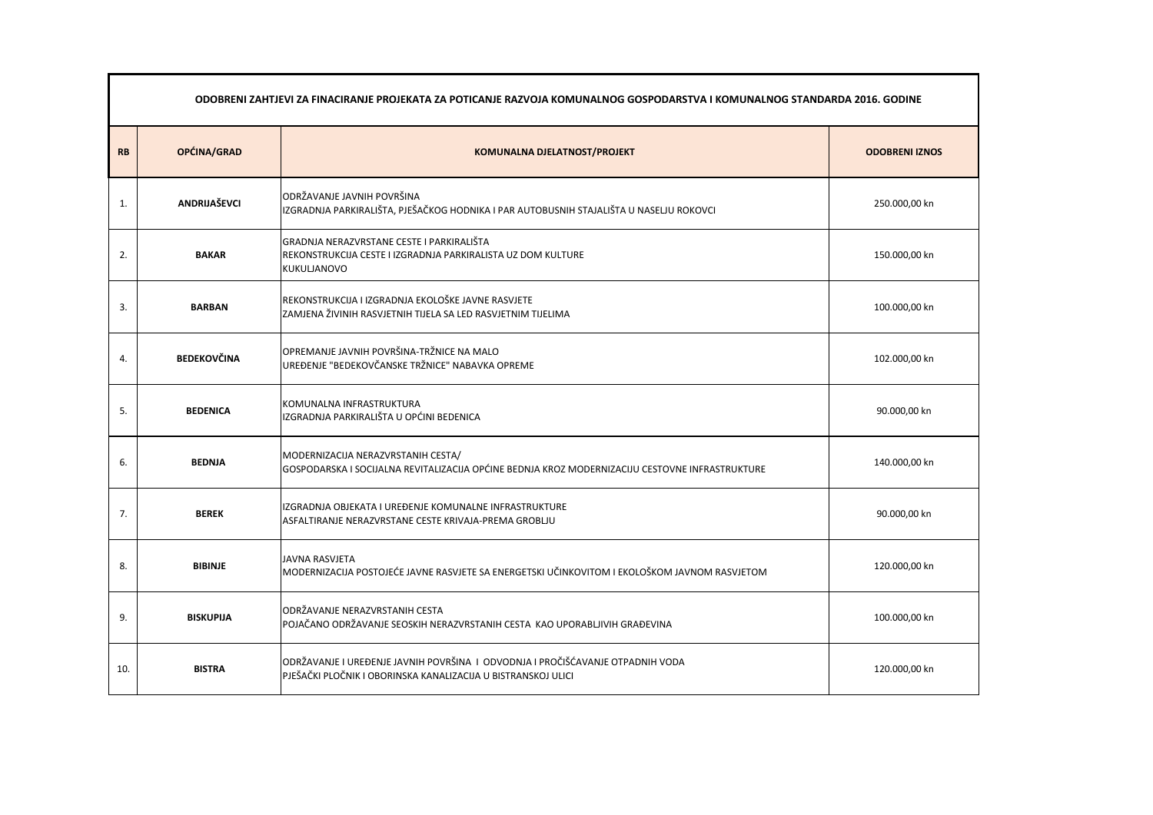|           | ODOBRENI ZAHTJEVI ZA FINACIRANJE PROJEKATA ZA POTICANJE RAZVOJA KOMUNALNOG GOSPODARSTVA I KOMUNALNOG STANDARDA 2016. GODINE |                                                                                                                                                 |                       |  |  |
|-----------|-----------------------------------------------------------------------------------------------------------------------------|-------------------------------------------------------------------------------------------------------------------------------------------------|-----------------------|--|--|
| <b>RB</b> | OPĆINA/GRAD                                                                                                                 | <b>KOMUNALNA DJELATNOST/PROJEKT</b>                                                                                                             | <b>ODOBRENI IZNOS</b> |  |  |
| 1.        | <b>ANDRIJAŠEVCI</b>                                                                                                         | ODRŽAVANJE JAVNIH POVRŠINA<br>IZGRADNJA PARKIRALIŠTA, PJEŠAČKOG HODNIKA I PAR AUTOBUSNIH STAJALIŠTA U NASELJU ROKOVCI                           | 250.000,00 kn         |  |  |
| 2.        | <b>BAKAR</b>                                                                                                                | GRADNJA NERAZVRSTANE CESTE I PARKIRALIŠTA<br>REKONSTRUKCIJA CESTE I IZGRADNJA PARKIRALISTA UZ DOM KULTURE<br>KUKULJANOVO                        | 150.000,00 kn         |  |  |
| 3.        | <b>BARBAN</b>                                                                                                               | REKONSTRUKCIJA I IZGRADNJA EKOLOŠKE JAVNE RASVJETE<br>ZAMJENA ŽIVINIH RASVJETNIH TIJELA SA LED RASVJETNIM TIJELIMA                              | 100.000,00 kn         |  |  |
| 4.        | <b>BEDEKOVČINA</b>                                                                                                          | OPREMANJE JAVNIH POVRŠINA-TRŽNICE NA MALO<br>UREĐENJE "BEDEKOVČANSKE TRŽNICE" NABAVKA OPREME                                                    | 102.000,00 kn         |  |  |
| 5.        | <b>BEDENICA</b>                                                                                                             | KOMUNALNA INFRASTRUKTURA<br>IZGRADNJA PARKIRALIŠTA U OPĆINI BEDENICA                                                                            | 90.000,00 kn          |  |  |
| 6.        | <b>BEDNJA</b>                                                                                                               | MODERNIZACIJA NERAZVRSTANIH CESTA/<br>GOSPODARSKA I SOCIJALNA REVITALIZACIJA OPĆINE BEDNJA KROZ MODERNIZACIJU CESTOVNE INFRASTRUKTURE           | 140.000,00 kn         |  |  |
| 7.        | <b>BEREK</b>                                                                                                                | IIZGRADNJA OBJEKATA I UREĐENJE KOMUNALNE INFRASTRUKTURE<br>ASFALTIRANJE NERAZVRSTANE CESTE KRIVAJA-PREMA GROBLJU                                | 90.000,00 kn          |  |  |
| 8.        | <b>BIBINJE</b>                                                                                                              | <b>JAVNA RASVJETA</b><br>MODERNIZACIJA POSTOJEĆE JAVNE RASVJETE SA ENERGETSKI UČINKOVITOM I EKOLOŠKOM JAVNOM RASVJETOM                          | 120.000,00 kn         |  |  |
| 9.        | <b>BISKUPIJA</b>                                                                                                            | ODRŽAVANJE NERAZVRSTANIH CESTA<br>POJAČANO ODRŽAVANJE SEOSKIH NERAZVRSTANIH CESTA KAO UPORABLJIVIH GRAĐEVINA                                    | 100.000,00 kn         |  |  |
| 10.       | <b>BISTRA</b>                                                                                                               | ODRŽAVANJE I UREĐENJE JAVNIH POVRŠINA I ODVODNJA I PROČIŠĆAVANJE OTPADNIH VODA<br>PJEŠAČKI PLOČNIK I OBORINSKA KANALIZACIJA U BISTRANSKOJ ULICI | 120.000,00 kn         |  |  |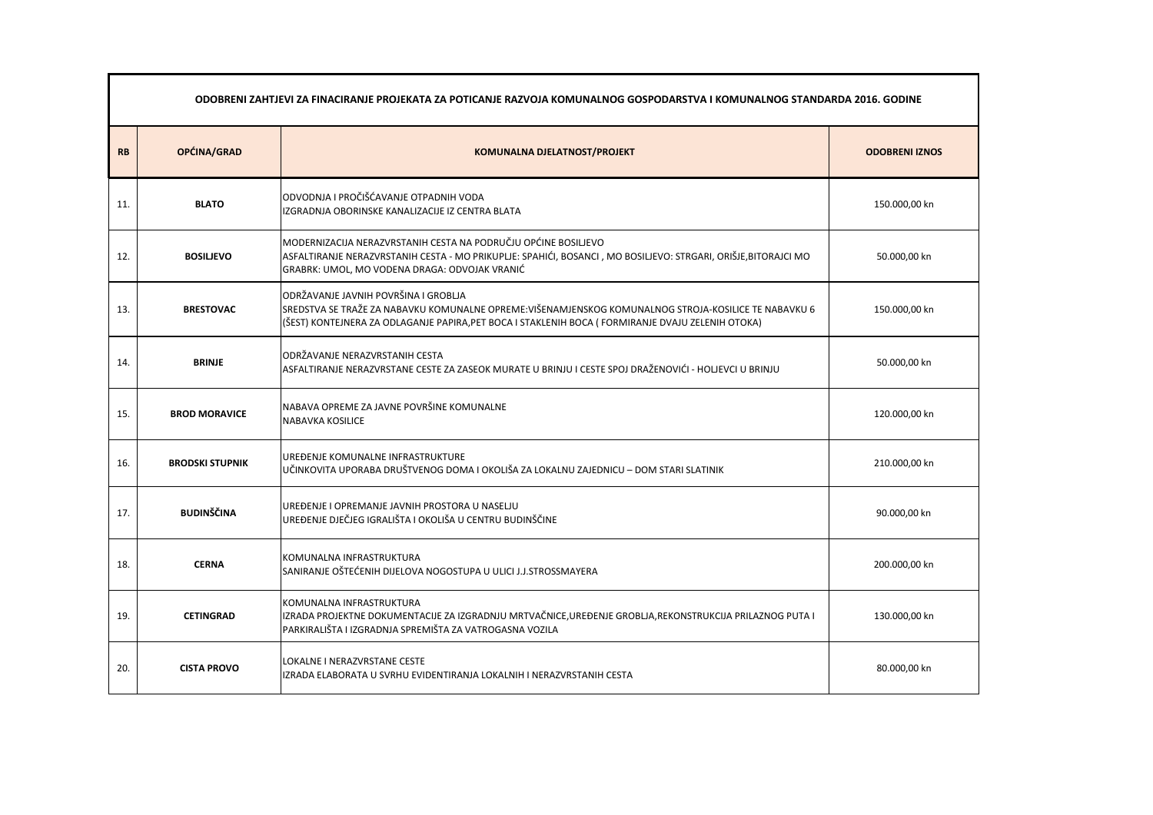|           | ODOBRENI ZAHTJEVI ZA FINACIRANJE PROJEKATA ZA POTICANJE RAZVOJA KOMUNALNOG GOSPODARSTVA I KOMUNALNOG STANDARDA 2016. GODINE |                                                                                                                                                                                                                                                    |                       |  |  |
|-----------|-----------------------------------------------------------------------------------------------------------------------------|----------------------------------------------------------------------------------------------------------------------------------------------------------------------------------------------------------------------------------------------------|-----------------------|--|--|
| <b>RB</b> | OPĆINA/GRAD                                                                                                                 | <b>KOMUNALNA DJELATNOST/PROJEKT</b>                                                                                                                                                                                                                | <b>ODOBRENI IZNOS</b> |  |  |
| 11.       | <b>BLATO</b>                                                                                                                | ODVODNJA I PROČIŠĆAVANJE OTPADNIH VODA<br>IZGRADNJA OBORINSKE KANALIZACIJE IZ CENTRA BLATA                                                                                                                                                         | 150.000,00 kn         |  |  |
| 12.       | <b>BOSILIEVO</b>                                                                                                            | MODERNIZACIJA NERAZVRSTANIH CESTA NA PODRUČJU OPĆINE BOSILJEVO<br>ASFALTIRANJE NERAZVRSTANIH CESTA - MO PRIKUPLJE: SPAHIĆI, BOSANCI , MO BOSILJEVO: STRGARI, ORIŠJE,BITORAJCI MO<br>GRABRK: UMOL, MO VODENA DRAGA: ODVOJAK VRANIĆ                  | 50.000,00 kn          |  |  |
| 13.       | <b>BRESTOVAC</b>                                                                                                            | ODRŽAVANJE JAVNIH POVRŠINA I GROBLJA<br>SREDSTVA SE TRAŽE ZA NABAVKU KOMUNALNE OPREME:VIŠENAMJENSKOG KOMUNALNOG STROJA-KOSILICE TE NABAVKU 6<br>(ŠEST) KONTEJNERA ZA ODLAGANJE PAPIRA, PET BOCA I STAKLENIH BOCA ( FORMIRANJE DVAJU ZELENIH OTOKA) | 150.000,00 kn         |  |  |
| 14.       | <b>BRINJE</b>                                                                                                               | ODRŽAVANJE NERAZVRSTANIH CESTA<br>ASFALTIRANJE NERAZVRSTANE CESTE ZA ZASEOK MURATE U BRINJU I CESTE SPOJ DRAŽENOVIĆI - HOLJEVCI U BRINJU                                                                                                           | 50.000,00 kn          |  |  |
| 15.       | <b>BROD MORAVICE</b>                                                                                                        | NABAVA OPREME ZA JAVNE POVRŠINE KOMUNALNE<br><b>NABAVKA KOSILICE</b>                                                                                                                                                                               | 120.000,00 kn         |  |  |
| 16.       | <b>BRODSKI STUPNIK</b>                                                                                                      | UREĐENJE KOMUNALNE INFRASTRUKTURE<br>UČINKOVITA UPORABA DRUŠTVENOG DOMA I OKOLIŠA ZA LOKALNU ZAJEDNICU - DOM STARI SLATINIK                                                                                                                        | 210.000,00 kn         |  |  |
| 17.       | <b>BUDINŠČINA</b>                                                                                                           | UREĐENJE I OPREMANJE JAVNIH PROSTORA U NASELJU<br>UREĐENJE DJEČJEG IGRALIŠTA I OKOLIŠA U CENTRU BUDINŠČINE                                                                                                                                         | 90.000,00 kn          |  |  |
| 18.       | <b>CERNA</b>                                                                                                                | KOMUNALNA INFRASTRUKTURA<br>SANIRANJE OŠTEĆENIH DIJELOVA NOGOSTUPA U ULICI J.J.STROSSMAYERA                                                                                                                                                        | 200.000,00 kn         |  |  |
| 19.       | <b>CETINGRAD</b>                                                                                                            | KOMUNALNA INFRASTRUKTURA<br>IZRADA PROJEKTNE DOKUMENTACIJE ZA IZGRADNJU MRTVAČNICE, UREĐENJE GROBLJA, REKONSTRUKCIJA PRILAZNOG PUTA I<br>PARKIRALIŠTA I IZGRADNJA SPREMIŠTA ZA VATROGASNA VOZILA                                                   | 130.000,00 kn         |  |  |
| 20.       | <b>CISTA PROVO</b>                                                                                                          | LOKALNE I NERAZVRSTANE CESTE<br>IZRADA ELABORATA U SVRHU EVIDENTIRANJA LOKALNIH I NERAZVRSTANIH CESTA                                                                                                                                              | 80.000,00 kn          |  |  |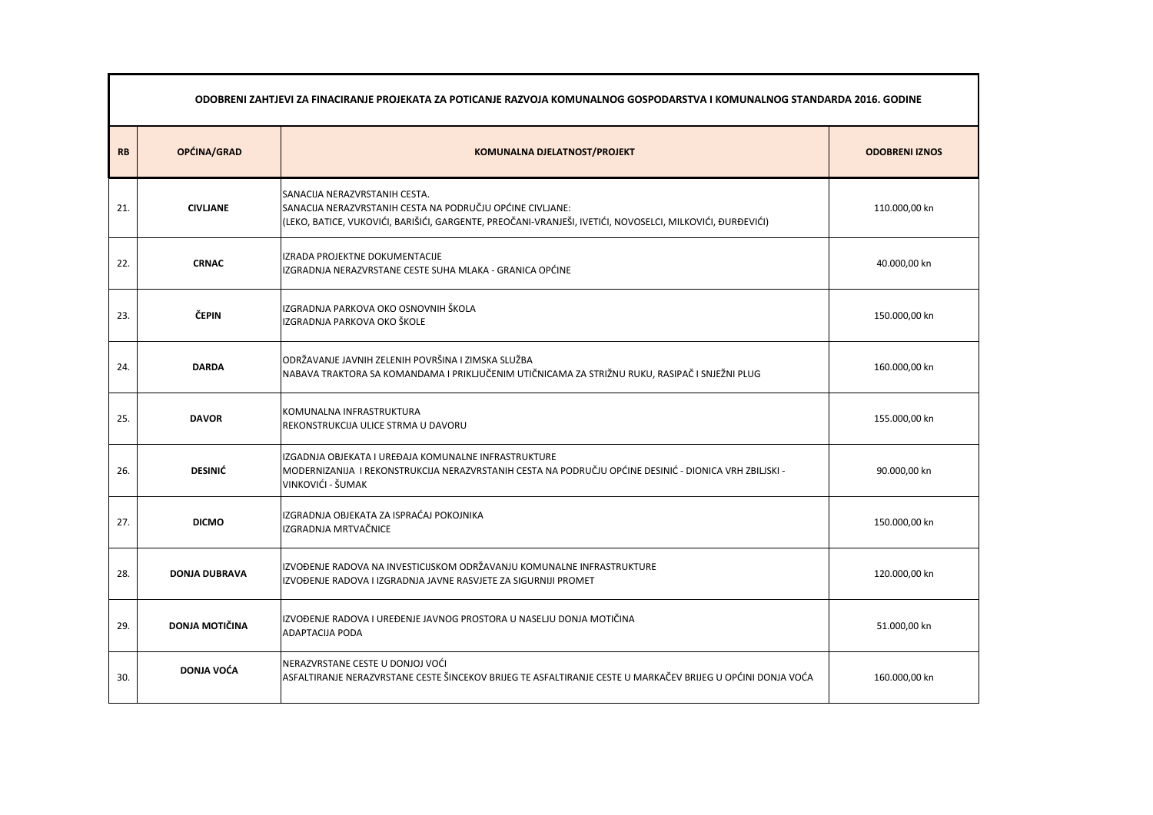|           | ODOBRENI ZAHTJEVI ZA FINACIRANJE PROJEKATA ZA POTICANJE RAZVOJA KOMUNALNOG GOSPODARSTVA I KOMUNALNOG STANDARDA 2016. GODINE |                                                                                                                                                                                                         |               |  |  |
|-----------|-----------------------------------------------------------------------------------------------------------------------------|---------------------------------------------------------------------------------------------------------------------------------------------------------------------------------------------------------|---------------|--|--|
| <b>RB</b> | OPĆINA/GRAD                                                                                                                 | <b>ODOBRENI IZNOS</b>                                                                                                                                                                                   |               |  |  |
| 21.       | <b>CIVLJANE</b>                                                                                                             | SANACIJA NERAZVRSTANIH CESTA.<br>SANACIJA NERAZVRSTANIH CESTA NA PODRUČJU OPĆINE CIVLJANE:<br>(LEKO, BATICE, VUKOVIĆI, BARIŠIĆI, GARGENTE, PREOČANI-VRANJEŠI, IVETIĆI, NOVOSELCI, MILKOVIĆI, ĐURĐEVIĆI) | 110.000,00 kn |  |  |
| 22.       | <b>CRNAC</b>                                                                                                                | IZRADA PROJEKTNE DOKUMENTACIJE<br>IZGRADNJA NERAZVRSTANE CESTE SUHA MLAKA - GRANICA OPĆINE                                                                                                              | 40.000,00 kn  |  |  |
| 23.       | ČEPIN                                                                                                                       | IZGRADNJA PARKOVA OKO OSNOVNIH ŠKOLA<br>IZGRADNJA PARKOVA OKO ŠKOLE                                                                                                                                     | 150.000,00 kn |  |  |
| 24.       | <b>DARDA</b>                                                                                                                | ODRŽAVANJE JAVNIH ZELENIH POVRŠINA I ZIMSKA SLUŽBA<br>NABAVA TRAKTORA SA KOMANDAMA I PRIKLJUČENIM UTIČNICAMA ZA STRIŽNU RUKU, RASIPAČ I SNJEŽNI PLUG                                                    | 160.000,00 kn |  |  |
| 25.       | <b>DAVOR</b>                                                                                                                | KOMUNALNA INFRASTRUKTURA<br>REKONSTRUKCIJA ULICE STRMA U DAVORU                                                                                                                                         | 155.000,00 kn |  |  |
| 26.       | <b>DESINIĆ</b>                                                                                                              | IZGADNJA OBJEKATA I UREĐAJA KOMUNALNE INFRASTRUKTURE<br>- MODERNIZANIJA I REKONSTRUKCIJA NERAZVRSTANIH CESTA NA PODRUČJU OPĆINE DESINIĆ - DIONICA VRH ZBILJSKI<br>VINKOVIĆI - ŠUMAK                     | 90.000,00 kn  |  |  |
| 27.       | <b>DICMO</b>                                                                                                                | IZGRADNJA OBJEKATA ZA ISPRAĆAJ POKOJNIKA<br>IZGRADNJA MRTVAČNICE                                                                                                                                        | 150.000,00 kn |  |  |
| 28.       | <b>DONJA DUBRAVA</b>                                                                                                        | IZVOĐENJE RADOVA NA INVESTICIJSKOM ODRŽAVANJU KOMUNALNE INFRASTRUKTURE<br>IZVOĐENJE RADOVA I IZGRADNJA JAVNE RASVJETE ZA SIGURNIJI PROMET                                                               | 120.000,00 kn |  |  |
| 29.       | <b>DONJA MOTIČINA</b>                                                                                                       | IZVOĐENJE RADOVA I UREĐENJE JAVNOG PROSTORA U NASELJU DONJA MOTIČINA<br><b>ADAPTACIJA PODA</b>                                                                                                          | 51.000,00 kn  |  |  |
| 30.       | <b>DONJA VOĆA</b>                                                                                                           | NERAZVRSTANE CESTE U DONJOJ VOĆI<br>ASFALTIRANJE NERAZVRSTANE CESTE ŠINCEKOV BRIJEG TE ASFALTIRANJE CESTE U MARKAČEV BRIJEG U OPĆINI DONJA VOĆA                                                         | 160.000,00 kn |  |  |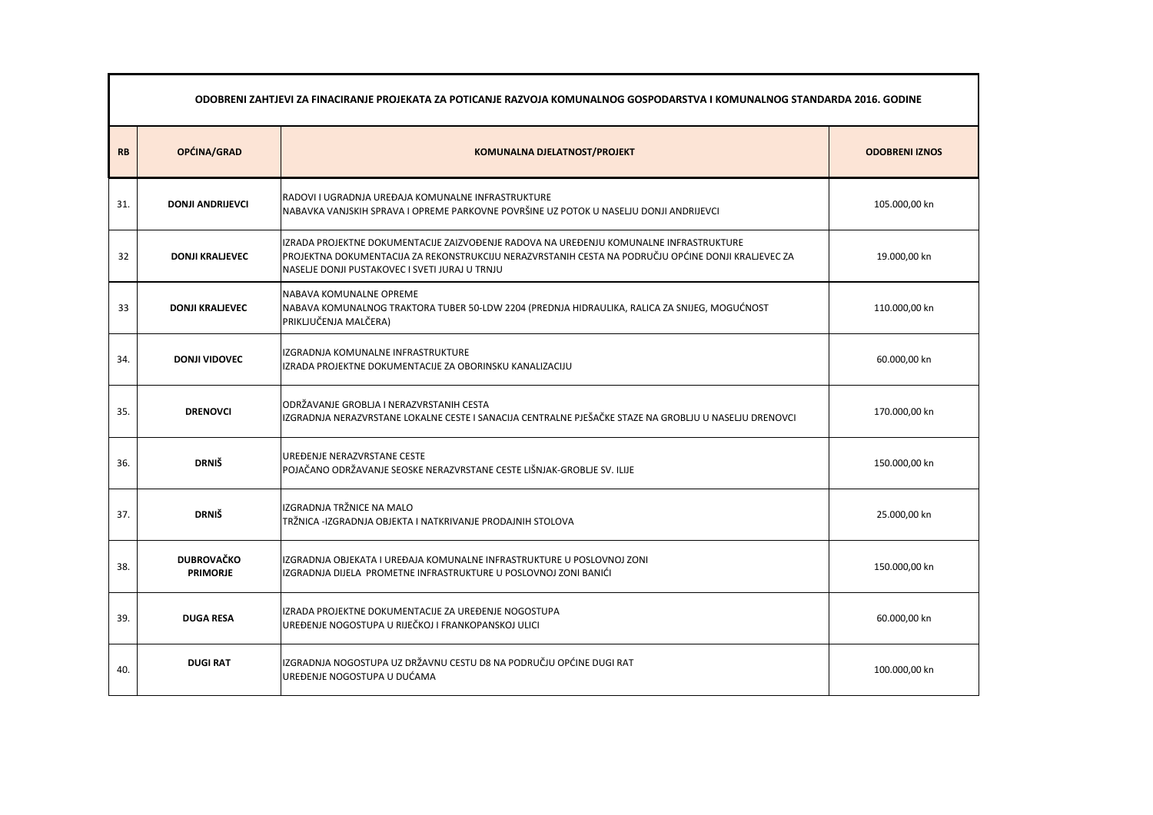|           | ODOBRENI ZAHTJEVI ZA FINACIRANJE PROJEKATA ZA POTICANJE RAZVOJA KOMUNALNOG GOSPODARSTVA I KOMUNALNOG STANDARDA 2016. GODINE |                                                                                                                                                                                                                                                 |                       |  |
|-----------|-----------------------------------------------------------------------------------------------------------------------------|-------------------------------------------------------------------------------------------------------------------------------------------------------------------------------------------------------------------------------------------------|-----------------------|--|
| <b>RB</b> | OPĆINA/GRAD                                                                                                                 | <b>KOMUNALNA DJELATNOST/PROJEKT</b>                                                                                                                                                                                                             | <b>ODOBRENI IZNOS</b> |  |
| 31.       | <b>DONJI ANDRIJEVCI</b>                                                                                                     | RADOVI I UGRADNJA UREĐAJA KOMUNALNE INFRASTRUKTURE<br>NABAVKA VANJSKIH SPRAVA I OPREME PARKOVNE POVRŠINE UZ POTOK U NASELJU DONJI ANDRIJEVCI                                                                                                    | 105.000,00 kn         |  |
| 32        | <b>DONJI KRALJEVEC</b>                                                                                                      | IZRADA PROJEKTNE DOKUMENTACIJE ZAIZVOĐENJE RADOVA NA UREĐENJU KOMUNALNE INFRASTRUKTURE<br>PROJEKTNA DOKUMENTACIJA ZA REKONSTRUKCIJU NERAZVRSTANIH CESTA NA PODRUČJU OPĆINE DONJI KRALJEVEC ZA<br>NASELJE DONJI PUSTAKOVEC I SVETI JURAJ U TRNJU | 19.000,00 kn          |  |
| 33        | <b>DONJI KRALJEVEC</b>                                                                                                      | NABAVA KOMUNALNE OPREME<br>NABAVA KOMUNALNOG TRAKTORA TUBER 50-LDW 2204 (PREDNJA HIDRAULIKA, RALICA ZA SNIJEG, MOGUĆNOST<br>PRIKLJUČENJA MALČERA)                                                                                               | 110.000,00 kn         |  |
| 34.       | <b>DONJI VIDOVEC</b>                                                                                                        | IZGRADNJA KOMUNALNE INFRASTRUKTURE<br>IZRADA PROJEKTNE DOKUMENTACIJE ZA OBORINSKU KANALIZACIJU                                                                                                                                                  | 60.000,00 kn          |  |
| 35.       | <b>DRENOVCI</b>                                                                                                             | ODRŽAVANJE GROBLJA I NERAZVRSTANIH CESTA<br>IZGRADNJA NERAZVRSTANE LOKALNE CESTE I SANACIJA CENTRALNE PJEŠAČKE STAZE NA GROBLJU U NASELJU DRENOVCI                                                                                              | 170.000,00 kn         |  |
| 36.       | <b>DRNIŠ</b>                                                                                                                | UREĐENJE NERAZVRSTANE CESTE<br>POJAČANO ODRŽAVANJE SEOSKE NERAZVRSTANE CESTE LIŠNJAK-GROBLJE SV. ILIJE                                                                                                                                          | 150.000,00 kn         |  |
| 37.       | <b>DRNIŠ</b>                                                                                                                | IZGRADNJA TRŽNICE NA MALO<br>TRŽNICA -IZGRADNJA OBJEKTA I NATKRIVANJE PRODAJNIH STOLOVA                                                                                                                                                         | 25.000,00 kn          |  |
| 38.       | <b>DUBROVAČKO</b><br><b>PRIMORJE</b>                                                                                        | IZGRADNJA OBJEKATA I UREĐAJA KOMUNALNE INFRASTRUKTURE U POSLOVNOJ ZONI<br>IZGRADNJA DIJELA PROMETNE INFRASTRUKTURE U POSLOVNOJ ZONI BANIĆI                                                                                                      | 150.000,00 kn         |  |
| 39.       | <b>DUGA RESA</b>                                                                                                            | IZRADA PROJEKTNE DOKUMENTACIJE ZA UREĐENJE NOGOSTUPA<br>UREĐENJE NOGOSTUPA U RIJEČKOJ I FRANKOPANSKOJ ULICI                                                                                                                                     | 60.000,00 kn          |  |
| 40.       | <b>DUGIRAT</b>                                                                                                              | IZGRADNJA NOGOSTUPA UZ DRŽAVNU CESTU D8 NA PODRUČJU OPĆINE DUGI RAT<br>UREĐENJE NOGOSTUPA U DUĆAMA                                                                                                                                              | 100.000,00 kn         |  |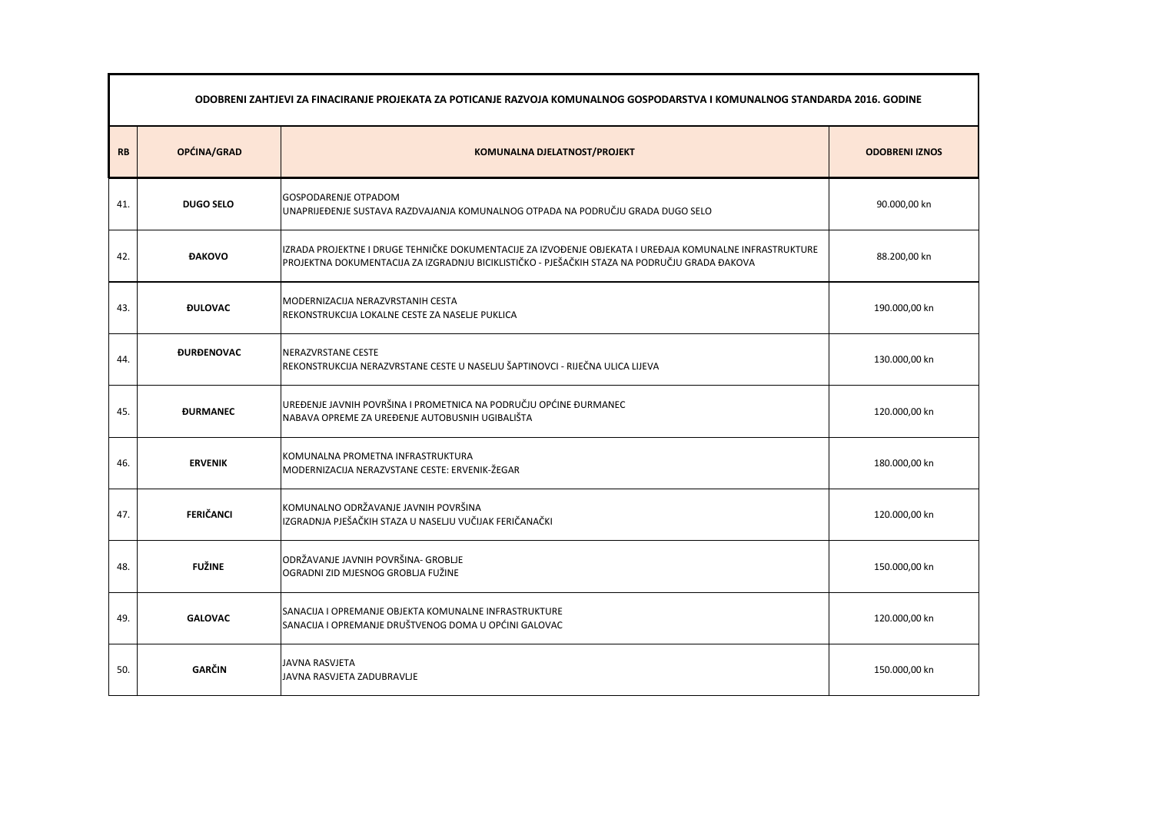|           | ODOBRENI ZAHTJEVI ZA FINACIRANJE PROJEKATA ZA POTICANJE RAZVOJA KOMUNALNOG GOSPODARSTVA I KOMUNALNOG STANDARDA 2016. GODINE |                                                                                                                                                                                                           |                       |  |  |
|-----------|-----------------------------------------------------------------------------------------------------------------------------|-----------------------------------------------------------------------------------------------------------------------------------------------------------------------------------------------------------|-----------------------|--|--|
| <b>RB</b> | OPĆINA/GRAD                                                                                                                 | <b>KOMUNALNA DJELATNOST/PROJEKT</b>                                                                                                                                                                       | <b>ODOBRENI IZNOS</b> |  |  |
| 41.       | <b>DUGO SELO</b>                                                                                                            | <b>GOSPODARENJE OTPADOM</b><br>UNAPRIJEĐENJE SUSTAVA RAZDVAJANJA KOMUNALNOG OTPADA NA PODRUČJU GRADA DUGO SELO                                                                                            | 90.000,00 kn          |  |  |
| 42.       | <b>ĐAKOVO</b>                                                                                                               | IZRADA PROJEKTNE I DRUGE TEHNIČKE DOKUMENTACIJE ZA IZVOĐENJE OBJEKATA I UREĐAJA KOMUNALNE INFRASTRUKTURE<br>PROJEKTNA DOKUMENTACIJA ZA IZGRADNJU BICIKLISTIČKO - PJEŠAČKIH STAZA NA PODRUČJU GRADA ĐAKOVA | 88.200,00 kn          |  |  |
| 43.       | <b><i>DULOVAC</i></b>                                                                                                       | MODERNIZACIJA NERAZVRSTANIH CESTA<br>REKONSTRUKCIJA LOKALNE CESTE ZA NASELJE PUKLICA                                                                                                                      | 190.000,00 kn         |  |  |
| 44.       | <b><i><u>DURDENOVAC</u></i></b>                                                                                             | NERAZVRSTANE CESTE<br>REKONSTRUKCIJA NERAZVRSTANE CESTE U NASELJU ŠAPTINOVCI - RIJEČNA ULICA LIJEVA                                                                                                       | 130.000,00 kn         |  |  |
| 45.       | <b><i><u>DURMANEC</u></i></b>                                                                                               | UREĐENJE JAVNIH POVRŠINA I PROMETNICA NA PODRUČJU OPĆINE ĐURMANEC<br>NABAVA OPREME ZA UREĐENJE AUTOBUSNIH UGIBALIŠTA                                                                                      | 120.000,00 kn         |  |  |
| 46.       | <b>ERVENIK</b>                                                                                                              | KOMUNALNA PROMETNA INFRASTRUKTURA<br>MODERNIZACIJA NERAZVSTANE CESTE: ERVENIK-ŽEGAR                                                                                                                       | 180.000,00 kn         |  |  |
| 47.       | <b>FERIČANCI</b>                                                                                                            | KOMUNALNO ODRŽAVANJE JAVNIH POVRŠINA<br>IZGRADNJA PJEŠAČKIH STAZA U NASELJU VUČIJAK FERIČANAČKI                                                                                                           | 120.000,00 kn         |  |  |
| 48.       | <b>FUŽINE</b>                                                                                                               | ODRŽAVANJE JAVNIH POVRŠINA- GROBLJE<br>OGRADNI ZID MJESNOG GROBLJA FUŽINE                                                                                                                                 | 150.000,00 kn         |  |  |
| 49.       | <b>GALOVAC</b>                                                                                                              | SANACIJA I OPREMANJE OBJEKTA KOMUNALNE INFRASTRUKTURE<br>SANACIJA I OPREMANJE DRUŠTVENOG DOMA U OPĆINI GALOVAC                                                                                            | 120.000,00 kn         |  |  |
| 50.       | <b>GARČIN</b>                                                                                                               | <b>JAVNA RASVJETA</b><br>JAVNA RASVJETA ZADUBRAVLJE                                                                                                                                                       | 150.000,00 kn         |  |  |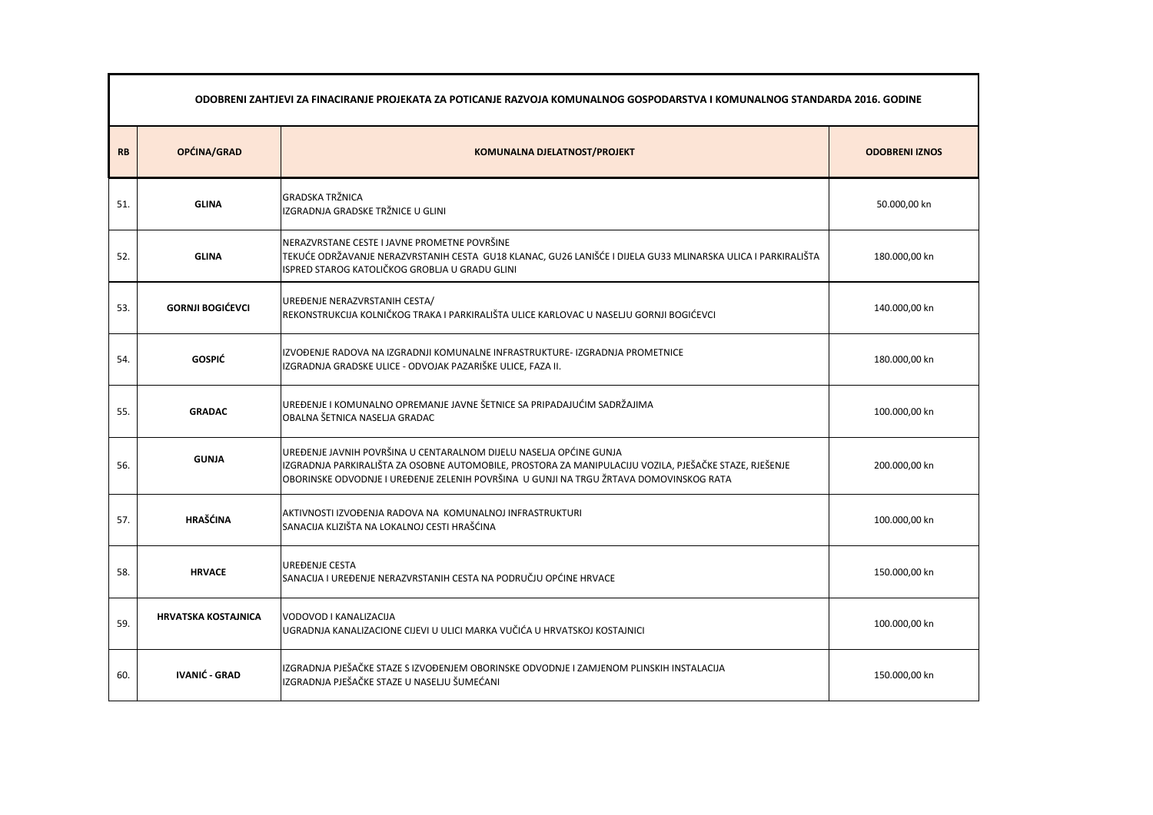|           | ODOBRENI ZAHTJEVI ZA FINACIRANJE PROJEKATA ZA POTICANJE RAZVOJA KOMUNALNOG GOSPODARSTVA I KOMUNALNOG STANDARDA 2016. GODINE |                                                                                                                                                                                                                                                                        |               |  |
|-----------|-----------------------------------------------------------------------------------------------------------------------------|------------------------------------------------------------------------------------------------------------------------------------------------------------------------------------------------------------------------------------------------------------------------|---------------|--|
| <b>RB</b> | OPĆINA/GRAD<br><b>KOMUNALNA DJELATNOST/PROJEKT</b>                                                                          |                                                                                                                                                                                                                                                                        |               |  |
| 51.       | <b>GLINA</b>                                                                                                                | <b>GRADSKA TRŽNICA</b><br>IZGRADNJA GRADSKE TRŽNICE U GLINI                                                                                                                                                                                                            | 50.000,00 kn  |  |
| 52.       | <b>GLINA</b>                                                                                                                | NERAZVRSTANE CESTE I JAVNE PROMETNE POVRŠINE<br>TEKUĆE ODRŽAVANJE NERAZVRSTANIH CESTA GU18 KLANAC, GU26 LANIŠĆE I DIJELA GU33 MLINARSKA ULICA I PARKIRALIŠTA<br>ISPRED STAROG KATOLIČKOG GROBLJA U GRADU GLINI                                                         | 180.000,00 kn |  |
| 53.       | <b>GORNJI BOGIĆEVCI</b>                                                                                                     | UREĐENJE NERAZVRSTANIH CESTA/<br>REKONSTRUKCIJA KOLNIČKOG TRAKA I PARKIRALIŠTA ULICE KARLOVAC U NASELJU GORNJI BOGIĆEVCI                                                                                                                                               | 140.000,00 kn |  |
| 54.       | <b>GOSPIĆ</b>                                                                                                               | IZVOĐENJE RADOVA NA IZGRADNJI KOMUNALNE INFRASTRUKTURE- IZGRADNJA PROMETNICE<br>IZGRADNJA GRADSKE ULICE - ODVOJAK PAZARIŠKE ULICE, FAZA II.                                                                                                                            | 180.000,00 kn |  |
| 55.       | <b>GRADAC</b>                                                                                                               | UREĐENJE I KOMUNALNO OPREMANJE JAVNE ŠETNICE SA PRIPADAJUĆIM SADRŽAJIMA<br>OBALNA ŠETNICA NASELJA GRADAC                                                                                                                                                               | 100.000,00 kn |  |
| 56.       | <b>GUNJA</b>                                                                                                                | UREĐENJE JAVNIH POVRŠINA U CENTARALNOM DIJELU NASELJA OPĆINE GUNJA<br>IZGRADNJA PARKIRALIŠTA ZA OSOBNE AUTOMOBILE, PROSTORA ZA MANIPULACIJU VOZILA, PJEŠAČKE STAZE, RJEŠENJE<br>OBORINSKE ODVODNJE I UREĐENJE ZELENIH POVRŠINA U GUNJI NA TRGU ŽRTAVA DOMOVINSKOG RATA | 200.000,00 kn |  |
| 57.       | <b>HRAŠĆINA</b>                                                                                                             | AKTIVNOSTI IZVOĐENJA RADOVA NA KOMUNALNOJ INFRASTRUKTURI<br>SANACIJA KLIZIŠTA NA LOKALNOJ CESTI HRAŠĆINA                                                                                                                                                               | 100.000,00 kn |  |
| 58.       | <b>HRVACE</b>                                                                                                               | <b>UREĐENJE CESTA</b><br>SANACIJA I UREĐENJE NERAZVRSTANIH CESTA NA PODRUČJU OPĆINE HRVACE                                                                                                                                                                             | 150.000,00 kn |  |
| 59.       | <b>HRVATSKA KOSTAJNICA</b>                                                                                                  | VODOVOD I KANALIZACIJA<br>UGRADNJA KANALIZACIONE CIJEVI U ULICI MARKA VUČIĆA U HRVATSKOJ KOSTAJNICI                                                                                                                                                                    | 100.000,00 kn |  |
| 60.       | <b>IVANIĆ - GRAD</b>                                                                                                        | IZGRADNJA PJEŠAČKE STAZE S IZVOĐENJEM OBORINSKE ODVODNJE I ZAMJENOM PLINSKIH INSTALACIJA<br>IZGRADNJA PJEŠAČKE STAZE U NASELJU ŠUMEĆANI                                                                                                                                | 150.000,00 kn |  |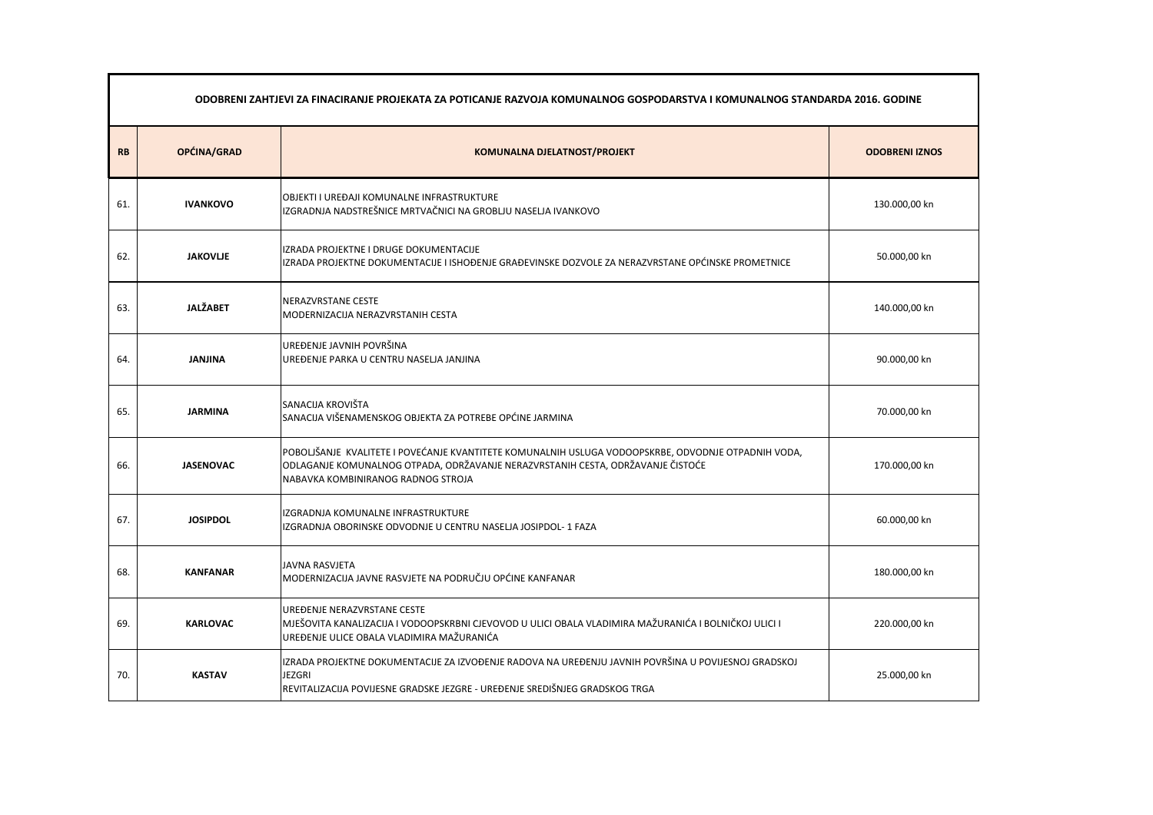| ODOBRENI ZAHTJEVI ZA FINACIRANJE PROJEKATA ZA POTICANJE RAZVOJA KOMUNALNOG GOSPODARSTVA I KOMUNALNOG STANDARDA 2016. GODINE |                  |                                                                                                                                                                                                                              |               |  |
|-----------------------------------------------------------------------------------------------------------------------------|------------------|------------------------------------------------------------------------------------------------------------------------------------------------------------------------------------------------------------------------------|---------------|--|
| OPĆINA/GRAD<br><b>RB</b><br><b>KOMUNALNA DJELATNOST/PROJEKT</b><br><b>ODOBRENI IZNOS</b>                                    |                  |                                                                                                                                                                                                                              |               |  |
| 61.                                                                                                                         | <b>IVANKOVO</b>  | OBJEKTI I UREĐAJI KOMUNALNE INFRASTRUKTURE<br>IZGRADNJA NADSTREŠNICE MRTVAČNICI NA GROBLJU NASELJA IVANKOVO                                                                                                                  | 130.000,00 kn |  |
| 62.                                                                                                                         | <b>JAKOVLJE</b>  | IZRADA PROJEKTNE I DRUGE DOKUMENTACIJE<br>IZRADA PROJEKTNE DOKUMENTACIJE I ISHOĐENJE GRAĐEVINSKE DOZVOLE ZA NERAZVRSTANE OPĆINSKE PROMETNICE                                                                                 | 50.000,00 kn  |  |
| 63.                                                                                                                         | <b>JALŽABET</b>  | NERAZVRSTANE CESTE<br>MODERNIZACIJA NERAZVRSTANIH CESTA                                                                                                                                                                      | 140.000,00 kn |  |
| 64.                                                                                                                         | <b>JANJINA</b>   | UREĐENJE JAVNIH POVRŠINA<br>UREĐENJE PARKA U CENTRU NASELJA JANJINA                                                                                                                                                          | 90.000,00 kn  |  |
| 65.                                                                                                                         | <b>JARMINA</b>   | SANACIJA KROVIŠTA<br>SANACIJA VIŠENAMENSKOG OBJEKTA ZA POTREBE OPĆINE JARMINA                                                                                                                                                | 70.000,00 kn  |  |
| 66.                                                                                                                         | <b>JASENOVAC</b> | POBOLJŠANJE KVALITETE I POVEĆANJE KVANTITETE KOMUNALNIH USLUGA VODOOPSKRBE, ODVODNJE OTPADNIH VODA,<br>ODLAGANJE KOMUNALNOG OTPADA, ODRŽAVANJE NERAZVRSTANIH CESTA, ODRŽAVANJE ČISTOĆE<br>NABAVKA KOMBINIRANOG RADNOG STROJA | 170.000,00 kn |  |
| 67.                                                                                                                         | <b>JOSIPDOL</b>  | IZGRADNJA KOMUNALNE INFRASTRUKTURE<br>IZGRADNJA OBORINSKE ODVODNJE U CENTRU NASELJA JOSIPDOL- 1 FAZA                                                                                                                         | 60.000,00 kn  |  |
| 68.                                                                                                                         | <b>KANFANAR</b>  | <b>JAVNA RASVJETA</b><br>MODERNIZACIJA JAVNE RASVJETE NA PODRUČJU OPĆINE KANFANAR                                                                                                                                            | 180.000,00 kn |  |
| 69.                                                                                                                         | <b>KARLOVAC</b>  | UREĐENJE NERAZVRSTANE CESTE<br>MJEŠOVITA KANALIZACIJA I VODOOPSKRBNI CJEVOVOD U ULICI OBALA VLADIMIRA MAŽURANIĆA I BOLNIČKOJ ULICI I<br>UREĐENJE ULICE OBALA VLADIMIRA MAŽURANIĆA                                            | 220.000,00 kn |  |
| 70.                                                                                                                         | <b>KASTAV</b>    | IZRADA PROJEKTNE DOKUMENTACIJE ZA IZVOĐENJE RADOVA NA UREĐENJU JAVNIH POVRŠINA U POVIJESNOJ GRADSKOJ<br><b>JEZGRI</b><br>REVITALIZACIJA POVIJESNE GRADSKE JEZGRE - UREĐENJE SREDIŠNJEG GRADSKOG TRGA                         | 25.000,00 kn  |  |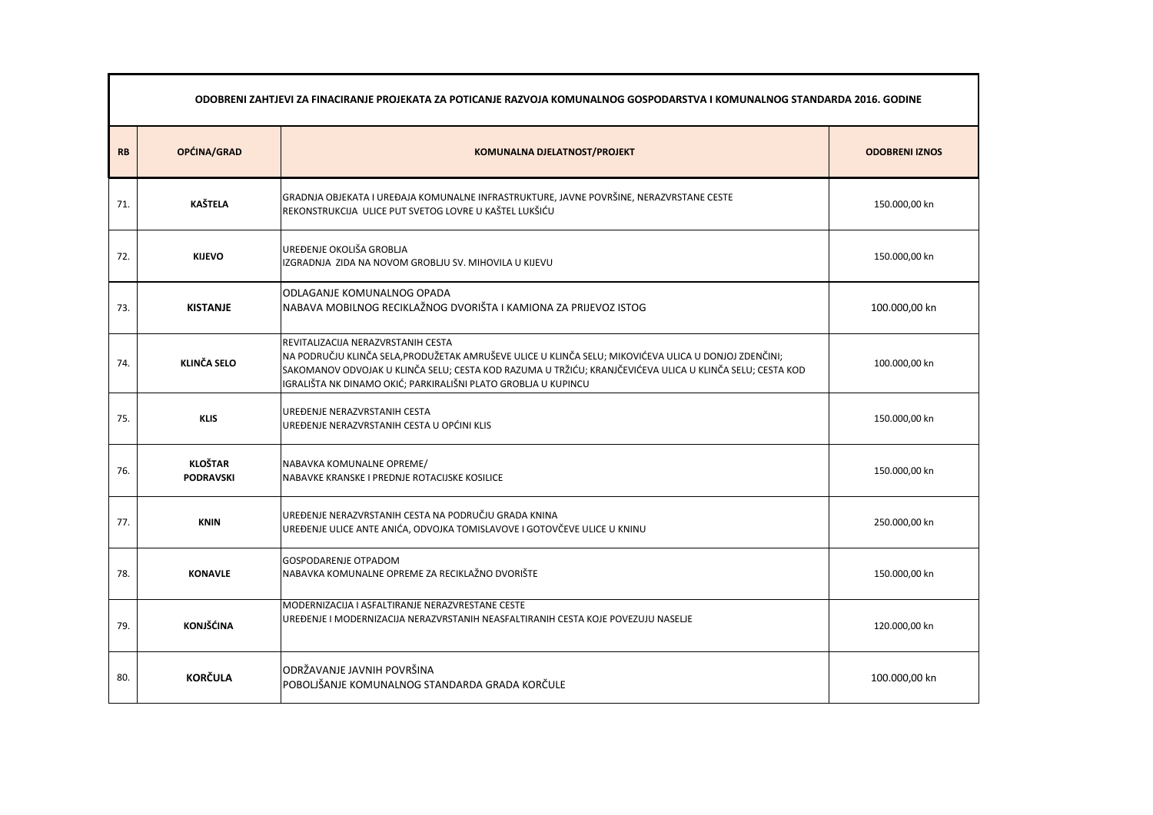|           | ODOBRENI ZAHTJEVI ZA FINACIRANJE PROJEKATA ZA POTICANJE RAZVOJA KOMUNALNOG GOSPODARSTVA I KOMUNALNOG STANDARDA 2016. GODINE |                                                                                                                                                                                                                                                                                                                           |                       |  |  |
|-----------|-----------------------------------------------------------------------------------------------------------------------------|---------------------------------------------------------------------------------------------------------------------------------------------------------------------------------------------------------------------------------------------------------------------------------------------------------------------------|-----------------------|--|--|
| <b>RB</b> | OPĆINA/GRAD                                                                                                                 | <b>KOMUNALNA DJELATNOST/PROJEKT</b>                                                                                                                                                                                                                                                                                       | <b>ODOBRENI IZNOS</b> |  |  |
| 71.       | <b>KAŠTELA</b>                                                                                                              | GRADNJA OBJEKATA I UREĐAJA KOMUNALNE INFRASTRUKTURE, JAVNE POVRŠINE, NERAZVRSTANE CESTE<br>REKONSTRUKCIJA ULICE PUT SVETOG LOVRE U KAŠTEL LUKŠIĆU                                                                                                                                                                         | 150.000,00 kn         |  |  |
| 72.       | <b>KIJEVO</b>                                                                                                               | UREĐENJE OKOLIŠA GROBLJA<br>IZGRADNJA ZIDA NA NOVOM GROBLJU SV. MIHOVILA U KIJEVU                                                                                                                                                                                                                                         | 150.000,00 kn         |  |  |
| 73.       | <b>KISTANJE</b>                                                                                                             | <b>ODLAGANJE KOMUNALNOG OPADA</b><br>NABAVA MOBILNOG RECIKLAŽNOG DVORIŠTA I KAMIONA ZA PRIJEVOZ ISTOG                                                                                                                                                                                                                     | 100.000,00 kn         |  |  |
| 74.       | <b>KLINČA SELO</b>                                                                                                          | REVITALIZACIJA NERAZVRSTANIH CESTA<br>NA PODRUČJU KLINČA SELA, PRODUŽETAK AMRUŠEVE ULICE U KLINČA SELU; MIKOVIĆEVA ULICA U DONJOJ ZDENČINI;<br>SAKOMANOV ODVOJAK U KLINČA SELU; CESTA KOD RAZUMA U TRŽIĆU; KRANJČEVIĆEVA ULICA U KLINČA SELU; CESTA KOD<br>IGRALIŠTA NK DINAMO OKIĆ; PARKIRALIŠNI PLATO GROBLJA U KUPINCU | 100.000,00 kn         |  |  |
| 75.       | <b>KLIS</b>                                                                                                                 | UREĐENJE NERAZVRSTANIH CESTA<br>UREĐENJE NERAZVRSTANIH CESTA U OPĆINI KLIS                                                                                                                                                                                                                                                | 150.000,00 kn         |  |  |
| 76.       | <b>KLOŠTAR</b><br><b>PODRAVSKI</b>                                                                                          | NABAVKA KOMUNALNE OPREME/<br>NABAVKE KRANSKE I PREDNJE ROTACIJSKE KOSILICE                                                                                                                                                                                                                                                | 150.000,00 kn         |  |  |
| 77.       | <b>KNIN</b>                                                                                                                 | UREĐENJE NERAZVRSTANIH CESTA NA PODRUČJU GRADA KNINA<br>UREĐENJE ULICE ANTE ANIĆA, ODVOJKA TOMISLAVOVE I GOTOVČEVE ULICE U KNINU                                                                                                                                                                                          | 250.000,00 kn         |  |  |
| 78.       | <b>KONAVLE</b>                                                                                                              | <b>GOSPODARENJE OTPADOM</b><br>NABAVKA KOMUNALNE OPREME ZA RECIKLAŽNO DVORIŠTE                                                                                                                                                                                                                                            | 150.000,00 kn         |  |  |
| 79.       | <b>KONJŠĆINA</b>                                                                                                            | MODERNIZACIJA I ASFALTIRANJE NERAZVRESTANE CESTE<br>UREĐENJE I MODERNIZACIJA NERAZVRSTANIH NEASFALTIRANIH CESTA KOJE POVEZUJU NASELJE                                                                                                                                                                                     | 120.000,00 kn         |  |  |
| 80.       | <b>KORČULA</b>                                                                                                              | ODRŽAVANJE JAVNIH POVRŠINA<br>POBOLJŠANJE KOMUNALNOG STANDARDA GRADA KORČULE                                                                                                                                                                                                                                              | 100.000,00 kn         |  |  |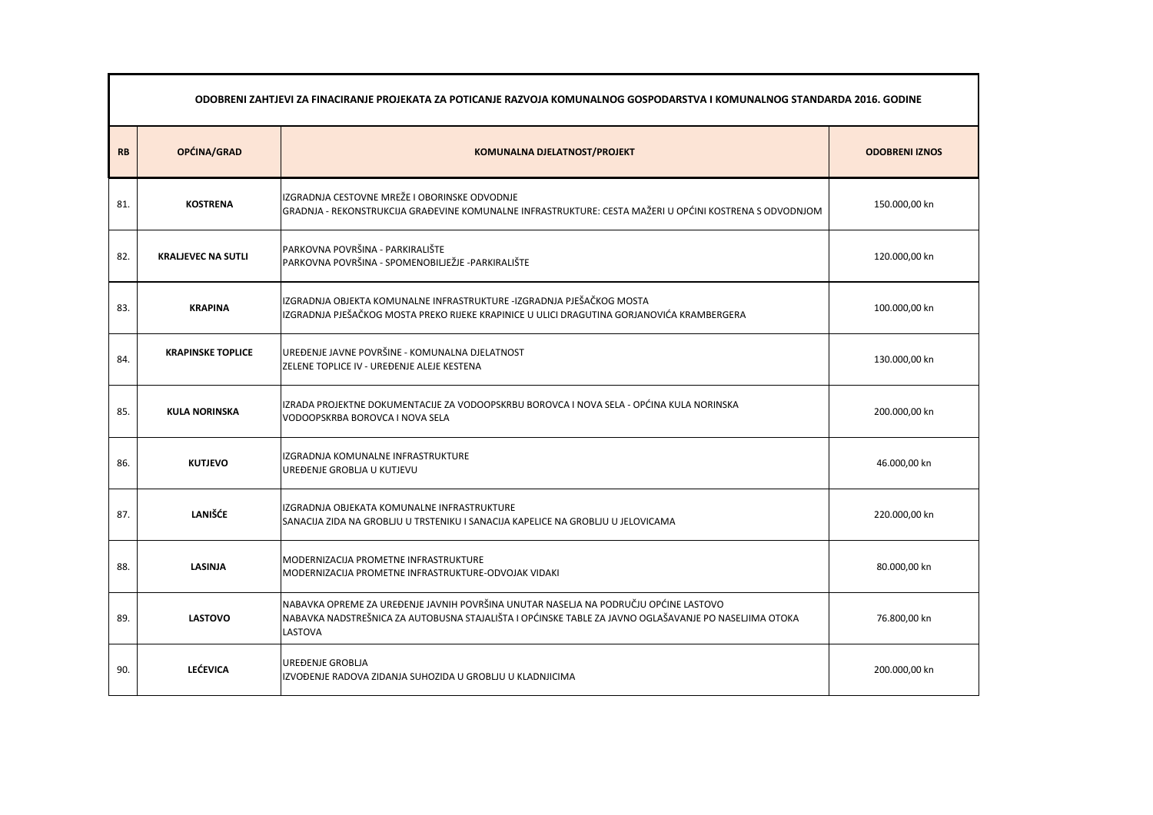|           | ODOBRENI ZAHTJEVI ZA FINACIRANJE PROJEKATA ZA POTICANJE RAZVOJA KOMUNALNOG GOSPODARSTVA I KOMUNALNOG STANDARDA 2016. GODINE |                                                                                                                                                                                                                 |                       |  |
|-----------|-----------------------------------------------------------------------------------------------------------------------------|-----------------------------------------------------------------------------------------------------------------------------------------------------------------------------------------------------------------|-----------------------|--|
| <b>RB</b> | OPĆINA/GRAD                                                                                                                 | <b>KOMUNALNA DJELATNOST/PROJEKT</b>                                                                                                                                                                             | <b>ODOBRENI IZNOS</b> |  |
| 81.       | <b>KOSTRENA</b>                                                                                                             | IZGRADNJA CESTOVNE MREŽE I OBORINSKE ODVODNJE<br>GRADNJA - REKONSTRUKCIJA GRAĐEVINE KOMUNALNE INFRASTRUKTURE: CESTA MAŽERI U OPĆINI KOSTRENA S ODVODNJOM                                                        | 150.000,00 kn         |  |
| 82.       | <b>KRALJEVEC NA SUTLI</b>                                                                                                   | PARKOVNA POVRŠINA - PARKIRALIŠTE<br>PARKOVNA POVRŠINA - SPOMENOBILJEŽJE -PARKIRALIŠTE                                                                                                                           | 120.000,00 kn         |  |
| 83.       | <b>KRAPINA</b>                                                                                                              | IZGRADNJA OBJEKTA KOMUNALNE INFRASTRUKTURE -IZGRADNJA PJEŠAČKOG MOSTA<br>IZGRADNJA PJEŠAČKOG MOSTA PREKO RIJEKE KRAPINICE U ULICI DRAGUTINA GORJANOVIĆA KRAMBERGERA                                             | 100.000,00 kn         |  |
| 84.       | <b>KRAPINSKE TOPLICE</b>                                                                                                    | UREĐENJE JAVNE POVRŠINE - KOMUNALNA DJELATNOST<br>ZELENE TOPLICE IV - UREĐENJE ALEJE KESTENA                                                                                                                    | 130.000,00 kn         |  |
| 85.       | <b>KULA NORINSKA</b>                                                                                                        | IZRADA PROJEKTNE DOKUMENTACIJE ZA VODOOPSKRBU BOROVCA I NOVA SELA - OPĆINA KULA NORINSKA<br>VODOOPSKRBA BOROVCA I NOVA SELA                                                                                     | 200.000,00 kn         |  |
| 86.       | <b>KUTJEVO</b>                                                                                                              | IZGRADNJA KOMUNALNE INFRASTRUKTURE<br>UREĐENJE GROBLJA U KUTJEVU                                                                                                                                                | 46.000,00 kn          |  |
| 87.       | <b>LANIŠĆE</b>                                                                                                              | IZGRADNJA OBJEKATA KOMUNALNE INFRASTRUKTURE<br>SANACIJA ZIDA NA GROBLJU U TRSTENIKU I SANACIJA KAPELICE NA GROBLJU U JELOVICAMA                                                                                 | 220.000,00 kn         |  |
| 88.       | <b>LASINJA</b>                                                                                                              | MODERNIZACIJA PROMETNE INFRASTRUKTURE<br>MODERNIZACIJA PROMETNE INFRASTRUKTURE-ODVOJAK VIDAKI                                                                                                                   | 80.000,00 kn          |  |
| 89.       | <b>LASTOVO</b>                                                                                                              | NABAVKA OPREME ZA UREĐENJE JAVNIH POVRŠINA UNUTAR NASELJA NA PODRUČJU OPĆINE LASTOVO<br>NABAVKA NADSTREŠNICA ZA AUTOBUSNA STAJALIŠTA I OPĆINSKE TABLE ZA JAVNO OGLAŠAVANJE PO NASELJIMA OTOKA<br><b>LASTOVA</b> | 76.800,00 kn          |  |
| 90.       | <b>LEĆEVICA</b>                                                                                                             | UREĐENJE GROBLJA<br>IZVOĐENJE RADOVA ZIDANJA SUHOZIDA U GROBLJU U KLADNJICIMA                                                                                                                                   | 200.000,00 kn         |  |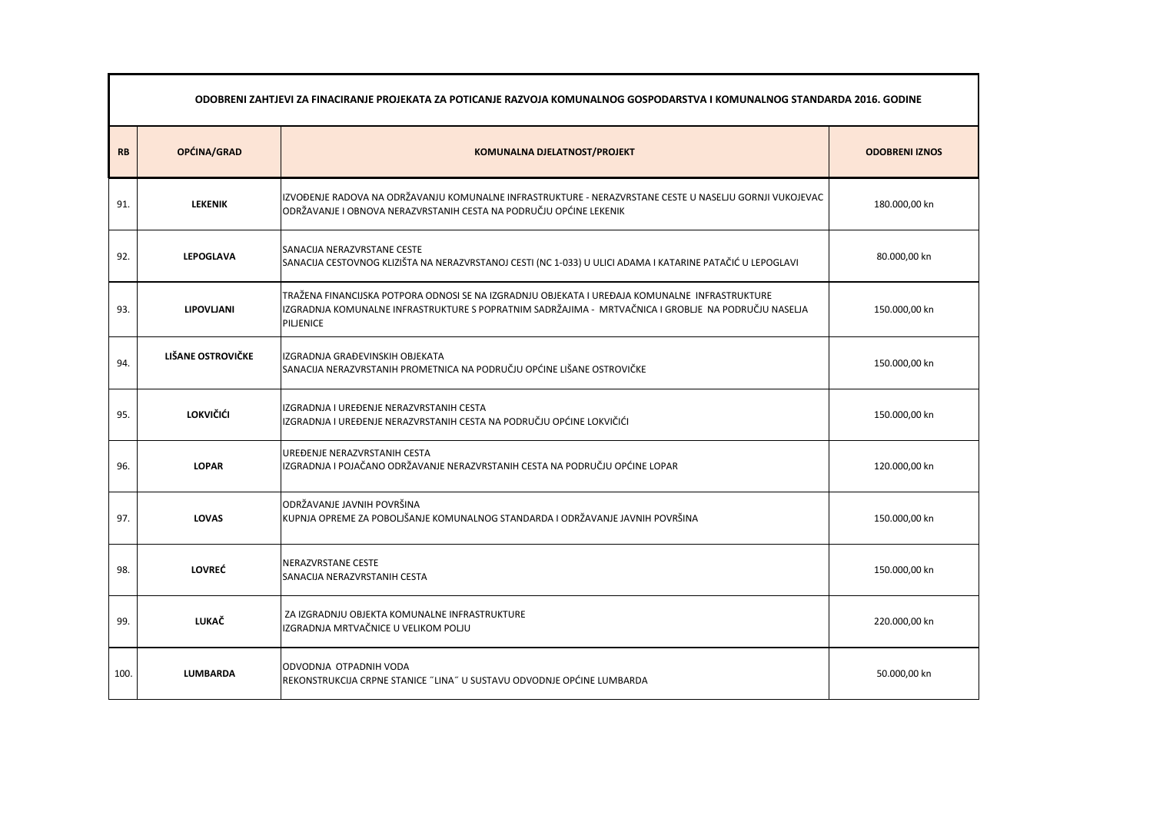|      | ODOBRENI ZAHTJEVI ZA FINACIRANJE PROJEKATA ZA POTICANJE RAZVOJA KOMUNALNOG GOSPODARSTVA I KOMUNALNOG STANDARDA 2016. GODINE |                                                                                                                                                                                                                      |                       |  |  |
|------|-----------------------------------------------------------------------------------------------------------------------------|----------------------------------------------------------------------------------------------------------------------------------------------------------------------------------------------------------------------|-----------------------|--|--|
| RB   | OPĆINA/GRAD                                                                                                                 | <b>KOMUNALNA DJELATNOST/PROJEKT</b>                                                                                                                                                                                  | <b>ODOBRENI IZNOS</b> |  |  |
| 91.  | <b>LEKENIK</b>                                                                                                              | IZVOĐENJE RADOVA NA ODRŽAVANJU KOMUNALNE INFRASTRUKTURE - NERAZVRSTANE CESTE U NASELJU GORNJI VUKOJEVAC<br>ODRŽAVANJE I OBNOVA NERAZVRSTANIH CESTA NA PODRUČJU OPĆINE LEKENIK                                        | 180.000,00 kn         |  |  |
| 92.  | <b>LEPOGLAVA</b>                                                                                                            | SANACIJA NERAZVRSTANE CESTE<br>SANACIJA CESTOVNOG KLIZIŠTA NA NERAZVRSTANOJ CESTI (NC 1-033) U ULICI ADAMA I KATARINE PATAČIĆ U LEPOGLAVI                                                                            | 80.000,00 kn          |  |  |
| 93.  | <b>LIPOVLJANI</b>                                                                                                           | TRAŽENA FINANCIJSKA POTPORA ODNOSI SE NA IZGRADNJU OBJEKATA I UREĐAJA KOMUNALNE  INFRASTRUKTURE<br>IZGRADNJA KOMUNALNE INFRASTRUKTURE S POPRATNIM SADRŽAJIMA - MRTVAČNICA I GROBLJE NA PODRUČJU NASELJA<br>PILJENICE | 150.000,00 kn         |  |  |
| 94.  | LIŠANE OSTROVIČKE                                                                                                           | IZGRADNJA GRAĐEVINSKIH OBJEKATA<br>SANACIJA NERAZVRSTANIH PROMETNICA NA PODRUČJU OPĆINE LIŠANE OSTROVIČKE                                                                                                            | 150.000,00 kn         |  |  |
| 95.  | <b>LOKVIČIĆI</b>                                                                                                            | IZGRADNJA I UREĐENJE NERAZVRSTANIH CESTA<br>IZGRADNJA I UREĐENJE NERAZVRSTANIH CESTA NA PODRUČJU OPĆINE LOKVIČIĆI                                                                                                    | 150.000,00 kn         |  |  |
| 96.  | <b>LOPAR</b>                                                                                                                | UREĐENJE NERAZVRSTANIH CESTA<br>IZGRADNJA I POJAČANO ODRŽAVANJE NERAZVRSTANIH CESTA NA PODRUČJU OPĆINE LOPAR                                                                                                         | 120.000,00 kn         |  |  |
| 97.  | <b>LOVAS</b>                                                                                                                | ODRŽAVANJE JAVNIH POVRŠINA<br>KUPNJA OPREME ZA POBOLJŠANJE KOMUNALNOG STANDARDA I ODRŽAVANJE JAVNIH POVRŠINA                                                                                                         | 150.000,00 kn         |  |  |
| 98.  | <b>LOVREĆ</b>                                                                                                               | NERAZVRSTANE CESTE<br>SANACIJA NERAZVRSTANIH CESTA                                                                                                                                                                   | 150.000,00 kn         |  |  |
| 99.  | <b>LUKAČ</b>                                                                                                                | ZA IZGRADNJU OBJEKTA KOMUNALNE INFRASTRUKTURE<br>IZGRADNJA MRTVAČNICE U VELIKOM POLJU                                                                                                                                | 220.000,00 kn         |  |  |
| 100. | <b>LUMBARDA</b>                                                                                                             | ODVODNJA OTPADNIH VODA<br>REKONSTRUKCIJA CRPNE STANICE "LINA" U SUSTAVU ODVODNJE OPĆINE LUMBARDA                                                                                                                     | 50.000,00 kn          |  |  |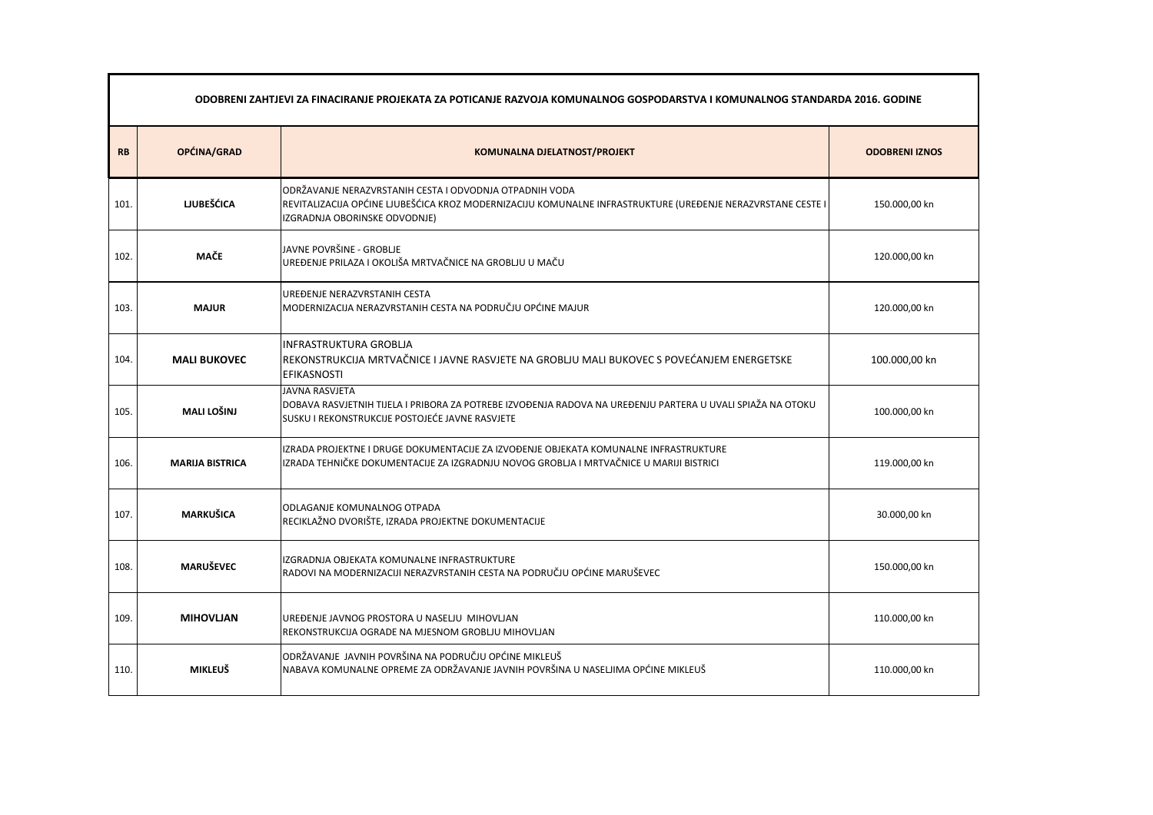|           | ODOBRENI ZAHTJEVI ZA FINACIRANJE PROJEKATA ZA POTICANJE RAZVOJA KOMUNALNOG GOSPODARSTVA I KOMUNALNOG STANDARDA 2016. GODINE |                                                                                                                                                                                                         |                       |  |  |
|-----------|-----------------------------------------------------------------------------------------------------------------------------|---------------------------------------------------------------------------------------------------------------------------------------------------------------------------------------------------------|-----------------------|--|--|
| <b>RB</b> | OPĆINA/GRAD                                                                                                                 | <b>KOMUNALNA DJELATNOST/PROJEKT</b>                                                                                                                                                                     | <b>ODOBRENI IZNOS</b> |  |  |
| 101.      | <b>LJUBEŠĆICA</b>                                                                                                           | ODRŽAVANJE NERAZVRSTANIH CESTA I ODVODNJA OTPADNIH VODA<br>REVITALIZACIJA OPĆINE LJUBEŠĆICA KROZ MODERNIZACIJU KOMUNALNE INFRASTRUKTURE (UREĐENJE NERAZVRSTANE CESTE I<br>IZGRADNJA OBORINSKE ODVODNJE) | 150.000,00 kn         |  |  |
| 102.      | <b>MAČE</b>                                                                                                                 | JAVNE POVRŠINE - GROBLJE<br>UREĐENJE PRILAZA I OKOLIŠA MRTVAČNICE NA GROBLJU U MAČU                                                                                                                     | 120.000,00 kn         |  |  |
| 103.      | <b>MAJUR</b>                                                                                                                | UREĐENJE NERAZVRSTANIH CESTA<br>MODERNIZACIJA NERAZVRSTANIH CESTA NA PODRUČJU OPĆINE MAJUR                                                                                                              | 120.000,00 kn         |  |  |
| 104.      | <b>MALI BUKOVEC</b>                                                                                                         | <b>INFRASTRUKTURA GROBLIA</b><br>REKONSTRUKCIJA MRTVAČNICE I JAVNE RASVJETE NA GROBLJU MALI BUKOVEC S POVEĆANJEM ENERGETSKE<br><b>EFIKASNOSTI</b>                                                       | 100.000,00 kn         |  |  |
| 105.      | <b>MALI LOŠINJ</b>                                                                                                          | <b>JAVNA RASVJETA</b><br>DOBAVA RASVJETNIH TIJELA I PRIBORA ZA POTREBE IZVOĐENJA RADOVA NA UREĐENJU PARTERA U UVALI SPIAŽA NA OTOKU<br>SUSKU I REKONSTRUKCIJE POSTOJEĆE JAVNE RASVJETE                  | 100.000,00 kn         |  |  |
| 106.      | <b>MARIJA BISTRICA</b>                                                                                                      | IZRADA PROJEKTNE I DRUGE DOKUMENTACIJE ZA IZVOĐENJE OBJEKATA KOMUNALNE INFRASTRUKTURE<br>IZRADA TEHNIČKE DOKUMENTACIJE ZA IZGRADNJU NOVOG GROBLJA I MRTVAČNICE U MARIJI BISTRICI                        | 119.000,00 kn         |  |  |
| 107.      | <b>MARKUŠICA</b>                                                                                                            | <b>ODLAGANJE KOMUNALNOG OTPADA</b><br>RECIKLAŽNO DVORIŠTE, IZRADA PROJEKTNE DOKUMENTACIJE                                                                                                               | 30.000,00 kn          |  |  |
| 108.      | <b>MARUŠEVEC</b>                                                                                                            | IZGRADNJA OBJEKATA KOMUNALNE INFRASTRUKTURE<br>RADOVI NA MODERNIZACIJI NERAZVRSTANIH CESTA NA PODRUČJU OPĆINE MARUŠEVEC                                                                                 | 150.000,00 kn         |  |  |
| 109.      | <b>MIHOVLJAN</b>                                                                                                            | UREĐENJE JAVNOG PROSTORA U NASELJU MIHOVLJAN<br>REKONSTRUKCIJA OGRADE NA MJESNOM GROBLJU MIHOVLJAN                                                                                                      | 110.000,00 kn         |  |  |
| 110.      | <b>MIKLEUŠ</b>                                                                                                              | ODRŽAVANJE JAVNIH POVRŠINA NA PODRUČJU OPĆINE MIKLEUŠ<br>NABAVA KOMUNALNE OPREME ZA ODRŽAVANJE JAVNIH POVRŠINA U NASELJIMA OPĆINE MIKLEUŠ                                                               | 110.000,00 kn         |  |  |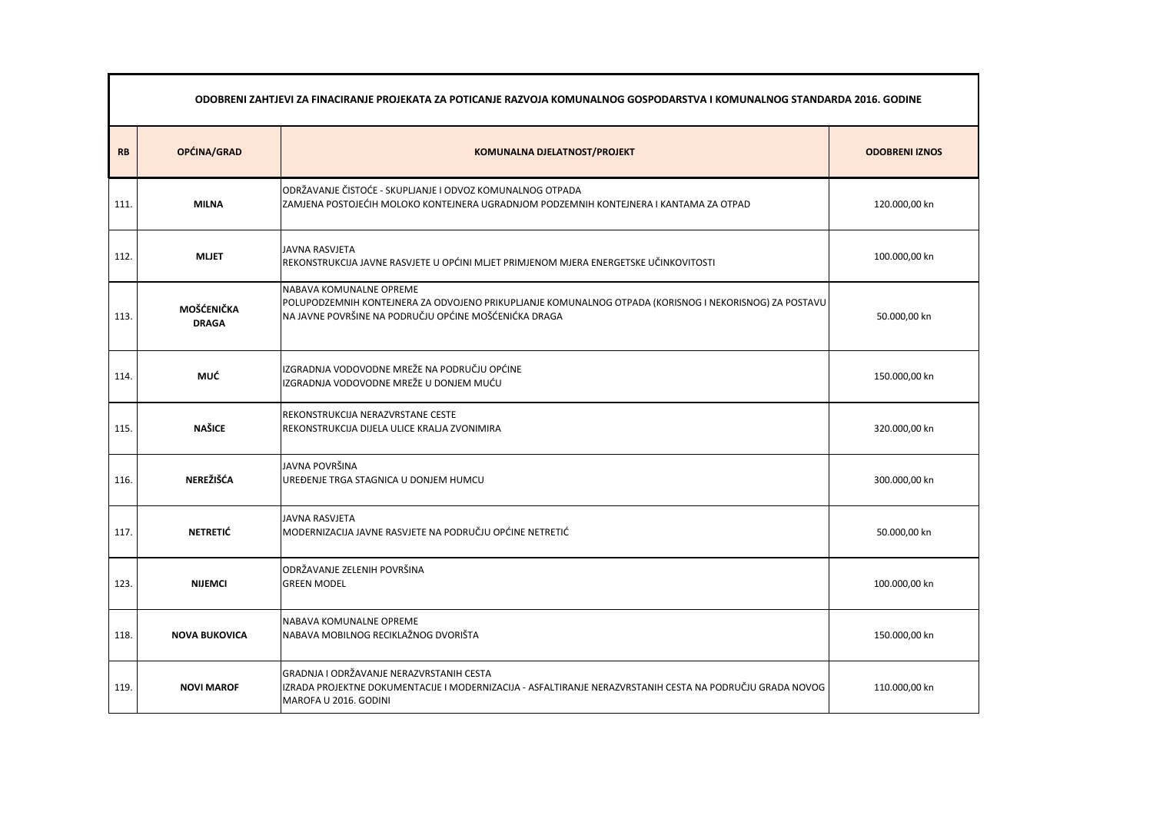|           | ODOBRENI ZAHTJEVI ZA FINACIRANJE PROJEKATA ZA POTICANJE RAZVOJA KOMUNALNOG GOSPODARSTVA I KOMUNALNOG STANDARDA 2016. GODINE |                                                                                                                                                                                            |                       |  |
|-----------|-----------------------------------------------------------------------------------------------------------------------------|--------------------------------------------------------------------------------------------------------------------------------------------------------------------------------------------|-----------------------|--|
| <b>RB</b> | OPĆINA/GRAD                                                                                                                 | <b>KOMUNALNA DJELATNOST/PROJEKT</b>                                                                                                                                                        | <b>ODOBRENI IZNOS</b> |  |
| 111.      | <b>MILNA</b>                                                                                                                | ODRŽAVANJE ČISTOĆE - SKUPLJANJE I ODVOZ KOMUNALNOG OTPADA<br>ZAMJENA POSTOJEĆIH MOLOKO KONTEJNERA UGRADNJOM PODZEMNIH KONTEJNERA I KANTAMA ZA OTPAD                                        | 120.000,00 kn         |  |
| 112.      | <b>MLJET</b>                                                                                                                | JAVNA RASVJETA<br>REKONSTRUKCIJA JAVNE RASVJETE U OPĆINI MLJET PRIMJENOM MJERA ENERGETSKE UČINKOVITOSTI                                                                                    | 100.000,00 kn         |  |
| 113.      | <b>MOŠĆENIČKA</b><br><b>DRAGA</b>                                                                                           | NABAVA KOMUNALNE OPREME<br>POLUPODZEMNIH KONTEJNERA ZA ODVOJENO PRIKUPLJANJE KOMUNALNOG OTPADA (KORISNOG I NEKORISNOG) ZA POSTAVU<br>NA JAVNE POVRŠINE NA PODRUČJU OPĆINE MOŠĆENIĆKA DRAGA | 50.000,00 kn          |  |
| 114.      | <b>MUĆ</b>                                                                                                                  | IZGRADNJA VODOVODNE MREŽE NA PODRUČJU OPĆINE<br>IZGRADNJA VODOVODNE MREŽE U DONJEM MUĆU                                                                                                    | 150.000,00 kn         |  |
| 115.      | <b>NAŠICE</b>                                                                                                               | REKONSTRUKCIJA NERAZVRSTANE CESTE<br>REKONSTRUKCIJA DIJELA ULICE KRALJA ZVONIMIRA                                                                                                          | 320.000,00 kn         |  |
| 116.      | <b>NEREŽIŠĆA</b>                                                                                                            | JAVNA POVRŠINA<br>UREĐENJE TRGA STAGNICA U DONJEM HUMCU                                                                                                                                    | 300.000,00 kn         |  |
| 117.      | <b>NETRETIĆ</b>                                                                                                             | <b>JAVNA RASVJETA</b><br>MODERNIZACIJA JAVNE RASVJETE NA PODRUČJU OPĆINE NETRETIĆ                                                                                                          | 50.000,00 kn          |  |
| 123.      | <b>NIJEMCI</b>                                                                                                              | <b>ODRŽAVANJE ZELENIH POVRŠINA</b><br><b>GREEN MODEL</b>                                                                                                                                   | 100.000,00 kn         |  |
| 118.      | <b>NOVA BUKOVICA</b>                                                                                                        | NABAVA KOMUNALNE OPREME<br>NABAVA MOBILNOG RECIKLAŽNOG DVORIŠTA                                                                                                                            | 150.000,00 kn         |  |
| 119.      | <b>NOVI MAROF</b>                                                                                                           | GRADNJA I ODRŽAVANJE NERAZVRSTANIH CESTA<br>IZRADA PROJEKTNE DOKUMENTACIJE I MODERNIZACIJA - ASFALTIRANJE NERAZVRSTANIH CESTA NA PODRUČJU GRADA NOVOG<br>MAROFA U 2016. GODINI             | 110.000,00 kn         |  |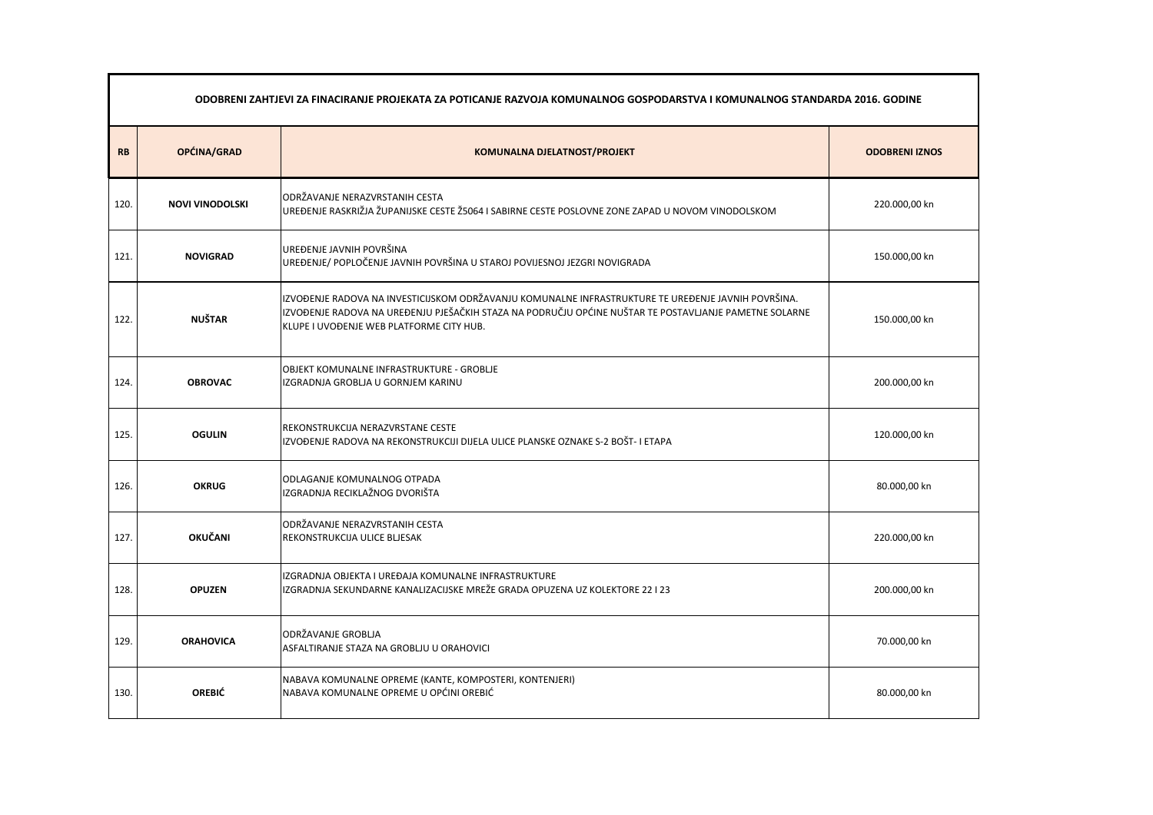|           | ODOBRENI ZAHTJEVI ZA FINACIRANJE PROJEKATA ZA POTICANJE RAZVOJA KOMUNALNOG GOSPODARSTVA I KOMUNALNOG STANDARDA 2016. GODINE |                                                                                                                                                                                                                                                           |                       |  |
|-----------|-----------------------------------------------------------------------------------------------------------------------------|-----------------------------------------------------------------------------------------------------------------------------------------------------------------------------------------------------------------------------------------------------------|-----------------------|--|
| <b>RB</b> | OPĆINA/GRAD                                                                                                                 | <b>KOMUNALNA DJELATNOST/PROJEKT</b>                                                                                                                                                                                                                       | <b>ODOBRENI IZNOS</b> |  |
| 120.      | <b>NOVI VINODOLSKI</b>                                                                                                      | ODRŽAVANJE NERAZVRSTANIH CESTA<br>UREĐENJE RASKRIŽJA ŽUPANIJSKE CESTE Ž5064 I SABIRNE CESTE POSLOVNE ZONE ZAPAD U NOVOM VINODOLSKOM                                                                                                                       | 220.000,00 kn         |  |
| 121.      | <b>NOVIGRAD</b>                                                                                                             | UREĐENJE JAVNIH POVRŠINA<br>UREĐENJE/ POPLOČENJE JAVNIH POVRŠINA U STAROJ POVIJESNOJ JEZGRI NOVIGRADA                                                                                                                                                     | 150.000,00 kn         |  |
| 122.      | <b>NUŠTAR</b>                                                                                                               | IZVOĐENJE RADOVA NA INVESTICIJSKOM ODRŽAVANJU KOMUNALNE INFRASTRUKTURE TE UREĐENJE JAVNIH POVRŠINA.<br>IZVOĐENJE RADOVA NA UREĐENJU PJEŠAČKIH STAZA NA PODRUČJU OPĆINE NUŠTAR TE POSTAVLJANJE PAMETNE SOLARNE<br>KLUPE I UVOĐENJE WEB PLATFORME CITY HUB. | 150.000,00 kn         |  |
| 124.      | <b>OBROVAC</b>                                                                                                              | <b>OBJEKT KOMUNALNE INFRASTRUKTURE - GROBLJE</b><br>IZGRADNJA GROBLJA U GORNJEM KARINU                                                                                                                                                                    | 200.000,00 kn         |  |
| 125.      | <b>OGULIN</b>                                                                                                               | REKONSTRUKCIJA NERAZVRSTANE CESTE<br>IZVOĐENJE RADOVA NA REKONSTRUKCIJI DIJELA ULICE PLANSKE OZNAKE S-2 BOŠT- I ETAPA                                                                                                                                     | 120.000,00 kn         |  |
| 126.      | <b>OKRUG</b>                                                                                                                | ODLAGANJE KOMUNALNOG OTPADA<br>IZGRADNJA RECIKLAŽNOG DVORIŠTA                                                                                                                                                                                             | 80.000,00 kn          |  |
| 127.      | <b>OKUČANI</b>                                                                                                              | ODRŽAVANJE NERAZVRSTANIH CESTA<br><b>REKONSTRUKCIJA ULICE BLJESAK</b>                                                                                                                                                                                     | 220.000,00 kn         |  |
| 128.      | <b>OPUZEN</b>                                                                                                               | IZGRADNJA OBJEKTA I UREĐAJA KOMUNALNE INFRASTRUKTURE<br>IZGRADNJA SEKUNDARNE KANALIZACIJSKE MREŽE GRADA OPUZENA UZ KOLEKTORE 22 I 23                                                                                                                      | 200.000,00 kn         |  |
| 129.      | <b>ORAHOVICA</b>                                                                                                            | ODRŽAVANJE GROBLJA<br>ASFALTIRANJE STAZA NA GROBLJU U ORAHOVICI                                                                                                                                                                                           | 70.000,00 kn          |  |
| 130.      | <b>OREBIĆ</b>                                                                                                               | NABAVA KOMUNALNE OPREME (KANTE, KOMPOSTERI, KONTENJERI)<br>NABAVA KOMUNALNE OPREME U OPĆINI OREBIĆ                                                                                                                                                        | 80.000,00 kn          |  |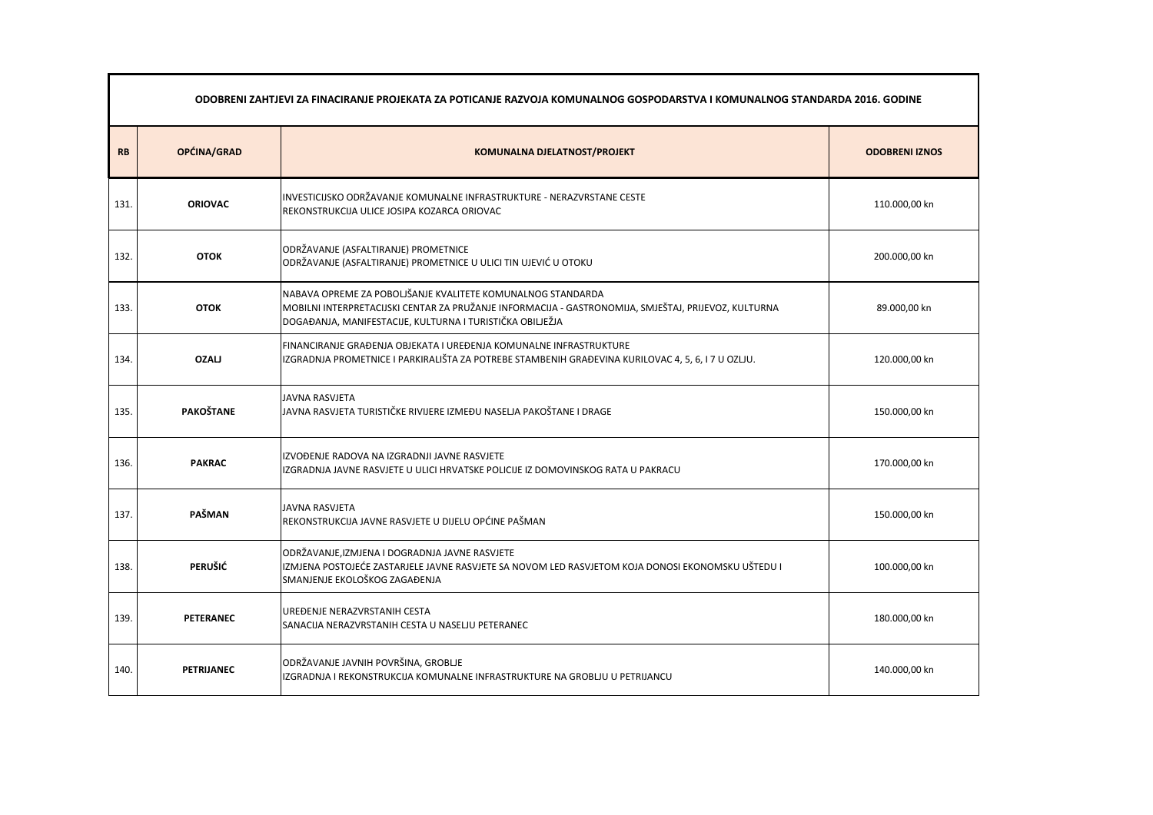|           | ODOBRENI ZAHTJEVI ZA FINACIRANJE PROJEKATA ZA POTICANJE RAZVOJA KOMUNALNOG GOSPODARSTVA I KOMUNALNOG STANDARDA 2016. GODINE |                                                                                                                                                                                                                                  |                       |
|-----------|-----------------------------------------------------------------------------------------------------------------------------|----------------------------------------------------------------------------------------------------------------------------------------------------------------------------------------------------------------------------------|-----------------------|
| <b>RB</b> | OPĆINA/GRAD                                                                                                                 | <b>KOMUNALNA DJELATNOST/PROJEKT</b>                                                                                                                                                                                              | <b>ODOBRENI IZNOS</b> |
| 131.      | <b>ORIOVAC</b>                                                                                                              | INVESTICIJSKO ODRŽAVANJE KOMUNALNE INFRASTRUKTURE - NERAZVRSTANE CESTE<br>REKONSTRUKCIJA ULICE JOSIPA KOZARCA ORIOVAC                                                                                                            | 110.000,00 kn         |
| 132.      | <b>OTOK</b>                                                                                                                 | ODRŽAVANJE (ASFALTIRANJE) PROMETNICE<br>ODRŽAVANJE (ASFALTIRANJE) PROMETNICE U ULICI TIN UJEVIĆ U OTOKU                                                                                                                          | 200.000,00 kn         |
| 133.      | <b>OTOK</b>                                                                                                                 | NABAVA OPREME ZA POBOLJŠANJE KVALITETE KOMUNALNOG STANDARDA<br>MOBILNI INTERPRETACIJSKI CENTAR ZA PRUŽANJE INFORMACIJA - GASTRONOMIJA, SMJEŠTAJ, PRIJEVOZ, KULTURNA<br>DOGAĐANJA, MANIFESTACIJE, KULTURNA I TURISTIČKA OBILJEŽJA | 89.000,00 kn          |
| 134.      | <b>OZALJ</b>                                                                                                                | FINANCIRANJE GRAĐENJA OBJEKATA I UREĐENJA KOMUNALNE INFRASTRUKTURE<br>IZGRADNJA PROMETNICE I PARKIRALIŠTA ZA POTREBE STAMBENIH GRAĐEVINA KURILOVAC 4, 5, 6, I 7 U OZLJU.                                                         | 120.000,00 kn         |
| 135.      | <b>PAKOŠTANE</b>                                                                                                            | <b>JAVNA RASVJETA</b><br>JAVNA RASVJETA TURISTIČKE RIVIJERE IZMEĐU NASELJA PAKOŠTANE I DRAGE                                                                                                                                     | 150.000,00 kn         |
| 136.      | <b>PAKRAC</b>                                                                                                               | IZVOĐENJE RADOVA NA IZGRADNJI JAVNE RASVJETE<br>IZGRADNJA JAVNE RASVJETE U ULICI HRVATSKE POLICIJE IZ DOMOVINSKOG RATA U PAKRACU                                                                                                 | 170.000,00 kn         |
| 137.      | PAŠMAN                                                                                                                      | JAVNA RASVJETA<br>REKONSTRUKCIJA JAVNE RASVJETE U DIJELU OPĆINE PAŠMAN                                                                                                                                                           | 150.000,00 kn         |
| 138.      | <b>PERUŠIĆ</b>                                                                                                              | ODRŽAVANJE, IZMJENA I DOGRADNJA JAVNE RASVJETE<br>IZMJENA POSTOJEĆE ZASTARJELE JAVNE RASVJETE SA NOVOM LED RASVJETOM KOJA DONOSI EKONOMSKU UŠTEDU I<br>SMANJENJE EKOLOŠKOG ZAGAĐENJA                                             | 100.000,00 kn         |
| 139.      | <b>PETERANEC</b>                                                                                                            | UREĐENJE NERAZVRSTANIH CESTA<br>SANACIJA NERAZVRSTANIH CESTA U NASELJU PETERANEC                                                                                                                                                 | 180.000,00 kn         |
| 140.      | <b>PETRIJANEC</b>                                                                                                           | ODRŽAVANJE JAVNIH POVRŠINA, GROBLJE<br>IZGRADNJA I REKONSTRUKCIJA KOMUNALNE INFRASTRUKTURE NA GROBLJU U PETRIJANCU                                                                                                               | 140.000,00 kn         |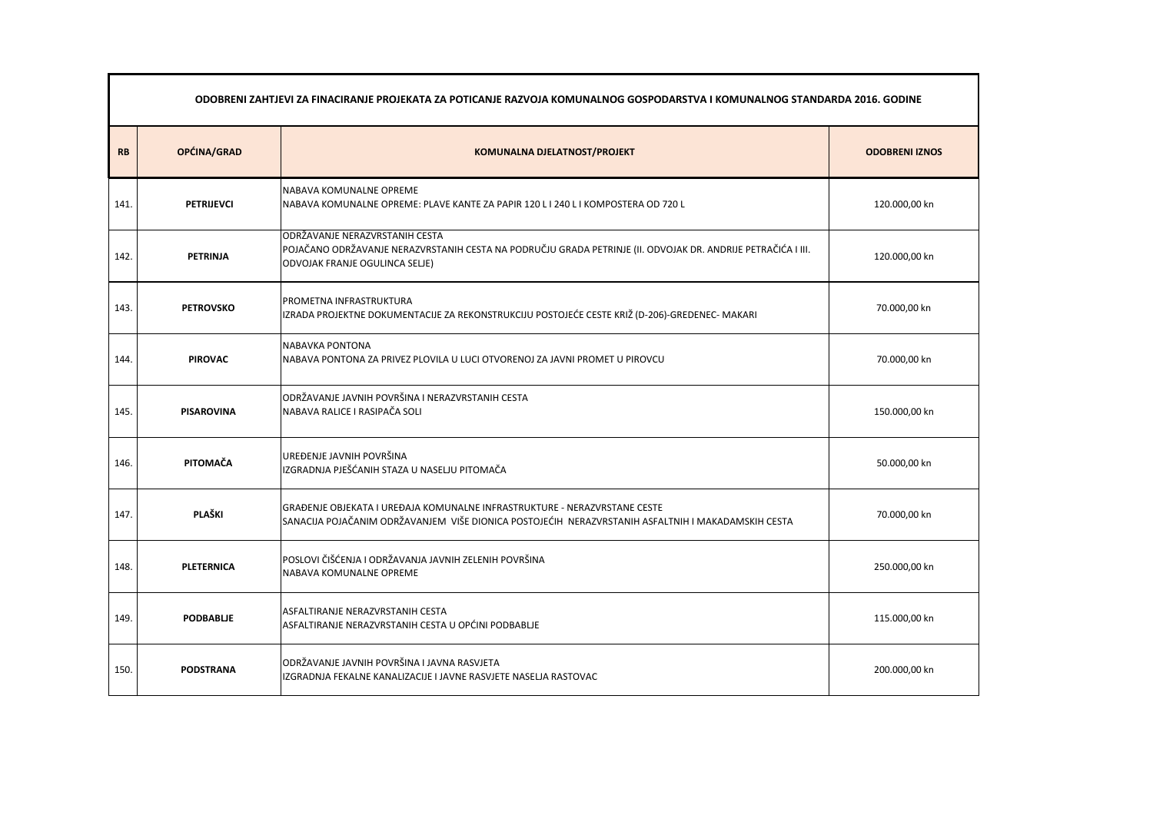|           | ODOBRENI ZAHTJEVI ZA FINACIRANJE PROJEKATA ZA POTICANJE RAZVOJA KOMUNALNOG GOSPODARSTVA I KOMUNALNOG STANDARDA 2016. GODINE |                                                                                                                                                                                         |                       |  |
|-----------|-----------------------------------------------------------------------------------------------------------------------------|-----------------------------------------------------------------------------------------------------------------------------------------------------------------------------------------|-----------------------|--|
| <b>RB</b> | OPĆINA/GRAD                                                                                                                 | <b>KOMUNALNA DJELATNOST/PROJEKT</b>                                                                                                                                                     | <b>ODOBRENI IZNOS</b> |  |
| 141.      | <b>PETRIJEVCI</b>                                                                                                           | NABAVA KOMUNALNE OPREME<br>NABAVA KOMUNALNE OPREME: PLAVE KANTE ZA PAPIR 120 L I 240 L I KOMPOSTERA OD 720 L                                                                            | 120.000,00 kn         |  |
| 142.      | <b>PETRINJA</b>                                                                                                             | <b>ODRŽAVANJE NERAZVRSTANIH CESTA</b><br>POJAČANO ODRŽAVANJE NERAZVRSTANIH CESTA NA PODRUČJU GRADA PETRINJE (II. ODVOJAK DR. ANDRIJE PETRAČIĆA I III.<br>ODVOJAK FRANJE OGULINCA SELJE) | 120.000,00 kn         |  |
| 143.      | <b>PETROVSKO</b>                                                                                                            | PROMETNA INFRASTRUKTURA<br>IZRADA PROJEKTNE DOKUMENTACIJE ZA REKONSTRUKCIJU POSTOJEĆE CESTE KRIŽ (D-206)-GREDENEC- MAKARI                                                               | 70.000,00 kn          |  |
| 144.      | <b>PIROVAC</b>                                                                                                              | <b>NABAVKA PONTONA</b><br>NABAVA PONTONA ZA PRIVEZ PLOVILA U LUCI OTVORENOJ ZA JAVNI PROMET U PIROVCU                                                                                   | 70.000,00 kn          |  |
| 145.      | <b>PISAROVINA</b>                                                                                                           | ODRŽAVANJE JAVNIH POVRŠINA I NERAZVRSTANIH CESTA<br>NABAVA RALICE I RASIPAČA SOLI                                                                                                       | 150.000,00 kn         |  |
| 146.      | PITOMAČA                                                                                                                    | UREĐENJE JAVNIH POVRŠINA<br>IZGRADNJA PJEŠĆANIH STAZA U NASELJU PITOMAČA                                                                                                                | 50.000,00 kn          |  |
| 147.      | PLAŠKI                                                                                                                      | GRAĐENJE OBJEKATA I UREĐAJA KOMUNALNE INFRASTRUKTURE - NERAZVRSTANE CESTE<br>SANACIJA POJAČANIM ODRŽAVANJEM VIŠE DIONICA POSTOJEĆIH NERAZVRSTANIH ASFALTNIH I MAKADAMSKIH CESTA         | 70.000,00 kn          |  |
| 148.      | <b>PLETERNICA</b>                                                                                                           | POSLOVI ČIŠĆENJA I ODRŽAVANJA JAVNIH ZELENIH POVRŠINA<br>NABAVA KOMUNALNE OPREME                                                                                                        | 250.000,00 kn         |  |
| 149.      | <b>PODBABLJE</b>                                                                                                            | ASFALTIRANJE NERAZVRSTANIH CESTA<br>ASFALTIRANJE NERAZVRSTANIH CESTA U OPĆINI PODBABLJE                                                                                                 | 115.000,00 kn         |  |
| 150.      | <b>PODSTRANA</b>                                                                                                            | ODRŽAVANJE JAVNIH POVRŠINA I JAVNA RASVJETA<br>IZGRADNJA FEKALNE KANALIZACIJE I JAVNE RASVJETE NASELJA RASTOVAC                                                                         | 200.000,00 kn         |  |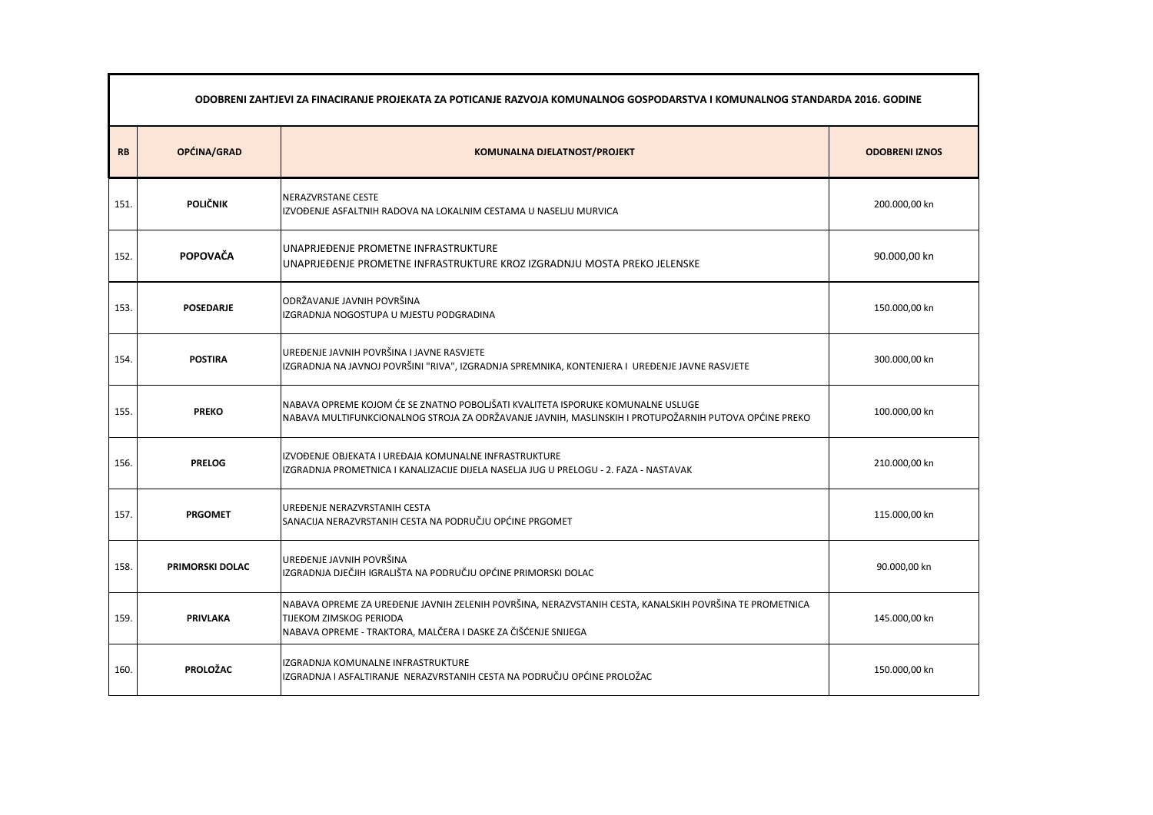|           | ODOBRENI ZAHTJEVI ZA FINACIRANJE PROJEKATA ZA POTICANJE RAZVOJA KOMUNALNOG GOSPODARSTVA I KOMUNALNOG STANDARDA 2016. GODINE |                                                                                                                                                                                                     |                       |  |
|-----------|-----------------------------------------------------------------------------------------------------------------------------|-----------------------------------------------------------------------------------------------------------------------------------------------------------------------------------------------------|-----------------------|--|
| <b>RB</b> | OPĆINA/GRAD                                                                                                                 | <b>KOMUNALNA DJELATNOST/PROJEKT</b>                                                                                                                                                                 | <b>ODOBRENI IZNOS</b> |  |
| 151.      | <b>POLIČNIK</b>                                                                                                             | NERAZVRSTANE CESTE<br>IIZVOĐENJE ASFALTNIH RADOVA NA LOKALNIM CESTAMA U NASELJU MURVICA                                                                                                             | 200.000,00 kn         |  |
| 152.      | POPOVAČA                                                                                                                    | UNAPRJEĐENJE PROMETNE INFRASTRUKTURE<br>UNAPRJEĐENJE PROMETNE INFRASTRUKTURE KROZ IZGRADNJU MOSTA PREKO JELENSKE                                                                                    | 90.000,00 kn          |  |
| 153.      | <b>POSEDARJE</b>                                                                                                            | ODRŽAVANJE JAVNIH POVRŠINA<br>IZGRADNJA NOGOSTUPA U MJESTU PODGRADINA                                                                                                                               | 150.000,00 kn         |  |
| 154.      | <b>POSTIRA</b>                                                                                                              | UREĐENJE JAVNIH POVRŠINA I JAVNE RASVJETE<br>IZGRADNJA NA JAVNOJ POVRŠINI "RIVA", IZGRADNJA SPREMNIKA, KONTENJERA I UREĐENJE JAVNE RASVJETE                                                         | 300.000,00 kn         |  |
| 155.      | <b>PREKO</b>                                                                                                                | NABAVA OPREME KOJOM ĆE SE ZNATNO POBOLJŠATI KVALITETA ISPORUKE KOMUNALNE USLUGE<br>NABAVA MULTIFUNKCIONALNOG STROJA ZA ODRŽAVANJE JAVNIH, MASLINSKIH I PROTUPOŽARNIH PUTOVA OPĆINE PREKO            | 100.000,00 kn         |  |
| 156.      | <b>PRELOG</b>                                                                                                               | IZVOĐENJE OBJEKATA I UREĐAJA KOMUNALNE INFRASTRUKTURE<br>IZGRADNJA PROMETNICA I KANALIZACIJE DIJELA NASELJA JUG U PRELOGU - 2. FAZA - NASTAVAK                                                      | 210.000,00 kn         |  |
| 157.      | <b>PRGOMET</b>                                                                                                              | UREĐENJE NERAZVRSTANIH CESTA<br>SANACIJA NERAZVRSTANIH CESTA NA PODRUČJU OPĆINE PRGOMET                                                                                                             | 115.000,00 kn         |  |
| 158.      | <b>PRIMORSKI DOLAC</b>                                                                                                      | UREĐENJE JAVNIH POVRŠINA<br>IZGRADNJA DJEČJIH IGRALIŠTA NA PODRUČJU OPĆINE PRIMORSKI DOLAC                                                                                                          | 90.000,00 kn          |  |
| 159.      | <b>PRIVLAKA</b>                                                                                                             | NABAVA OPREME ZA UREĐENJE JAVNIH ZELENIH POVRŠINA, NERAZVSTANIH CESTA, KANALSKIH POVRŠINA TE PROMETNICA<br>TIJEKOM ZIMSKOG PERIODA<br>NABAVA OPREME - TRAKTORA, MALČERA I DASKE ZA ČIŠĆENJE SNIJEGA | 145.000,00 kn         |  |
| 160.      | <b>PROLOŽAC</b>                                                                                                             | IZGRADNJA KOMUNALNE INFRASTRUKTURE<br>IZGRADNJA I ASFALTIRANJE NERAZVRSTANIH CESTA NA PODRUČJU OPĆINE PROLOŽAC                                                                                      | 150.000,00 kn         |  |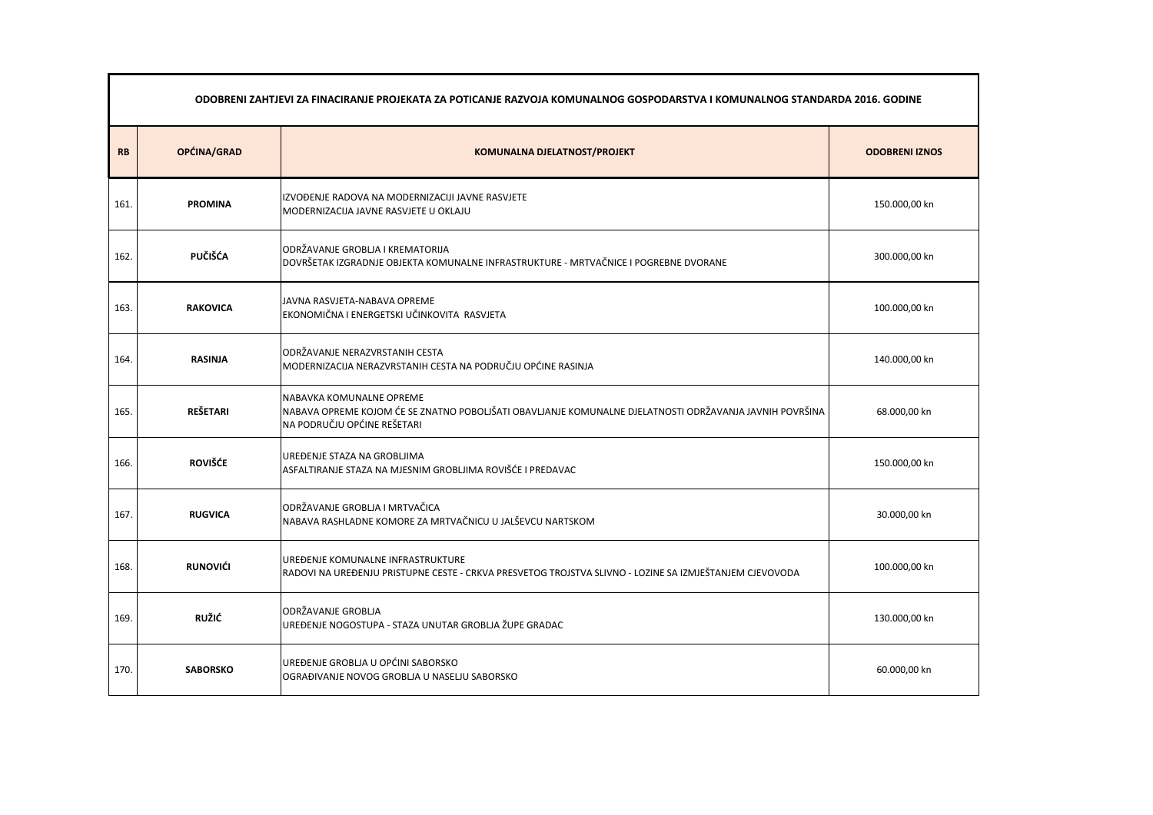|           | ODOBRENI ZAHTJEVI ZA FINACIRANJE PROJEKATA ZA POTICANJE RAZVOJA KOMUNALNOG GOSPODARSTVA I KOMUNALNOG STANDARDA 2016. GODINE |                                                                                                                                                                    |                       |  |
|-----------|-----------------------------------------------------------------------------------------------------------------------------|--------------------------------------------------------------------------------------------------------------------------------------------------------------------|-----------------------|--|
| <b>RB</b> | OPĆINA/GRAD                                                                                                                 | <b>KOMUNALNA DJELATNOST/PROJEKT</b>                                                                                                                                | <b>ODOBRENI IZNOS</b> |  |
| 161.      | <b>PROMINA</b>                                                                                                              | IZVOĐENJE RADOVA NA MODERNIZACIJI JAVNE RASVJETE<br>MODERNIZACIJA JAVNE RASVJETE U OKLAJU                                                                          | 150.000,00 kn         |  |
| 162.      | <b>PUČIŠĆA</b>                                                                                                              | ODRŽAVANJE GROBLJA I KREMATORIJA<br>DOVRŠETAK IZGRADNJE OBJEKTA KOMUNALNE INFRASTRUKTURE - MRTVAČNICE I POGREBNE DVORANE                                           | 300.000,00 kn         |  |
| 163.      | <b>RAKOVICA</b>                                                                                                             | JAVNA RASVJETA-NABAVA OPREME<br>EKONOMIČNA I ENERGETSKI UČINKOVITA RASVJETA                                                                                        | 100.000,00 kn         |  |
| 164.      | <b>RASINJA</b>                                                                                                              | ODRŽAVANJE NERAZVRSTANIH CESTA<br>MODERNIZACIJA NERAZVRSTANIH CESTA NA PODRUČJU OPĆINE RASINJA                                                                     | 140.000,00 kn         |  |
| 165.      | <b>REŠETARI</b>                                                                                                             | NABAVKA KOMUNALNE OPREME<br>NABAVA OPREME KOJOM ĆE SE ZNATNO POBOLJŠATI OBAVLJANJE KOMUNALNE DJELATNOSTI ODRŽAVANJA JAVNIH POVRŠINA<br>NA PODRUČJU OPĆINE REŠETARI | 68.000,00 kn          |  |
| 166.      | <b>ROVIŠĆE</b>                                                                                                              | UREĐENJE STAZA NA GROBLJIMA<br>ASFALTIRANJE STAZA NA MJESNIM GROBLJIMA ROVIŠĆE I PREDAVAC                                                                          | 150.000,00 kn         |  |
| 167.      | <b>RUGVICA</b>                                                                                                              | ODRŽAVANJE GROBLJA I MRTVAČICA<br>NABAVA RASHLADNE KOMORE ZA MRTVAČNICU U JALŠEVCU NARTSKOM                                                                        | 30.000,00 kn          |  |
| 168.      | <b>RUNOVIĆI</b>                                                                                                             | UREĐENJE KOMUNALNE INFRASTRUKTURE<br>RADOVI NA UREĐENJU PRISTUPNE CESTE - CRKVA PRESVETOG TROJSTVA SLIVNO - LOZINE SA IZMJEŠTANJEM CJEVOVODA                       | 100.000,00 kn         |  |
| 169.      | <b>RUŽIĆ</b>                                                                                                                | ODRŽAVANJE GROBLJA<br>UREĐENJE NOGOSTUPA - STAZA UNUTAR GROBLJA ŽUPE GRADAC                                                                                        | 130.000,00 kn         |  |
| 170.      | <b>SABORSKO</b>                                                                                                             | UREĐENJE GROBLJA U OPĆINI SABORSKO<br>OGRAĐIVANJE NOVOG GROBLJA U NASELJU SABORSKO                                                                                 | 60.000,00 kn          |  |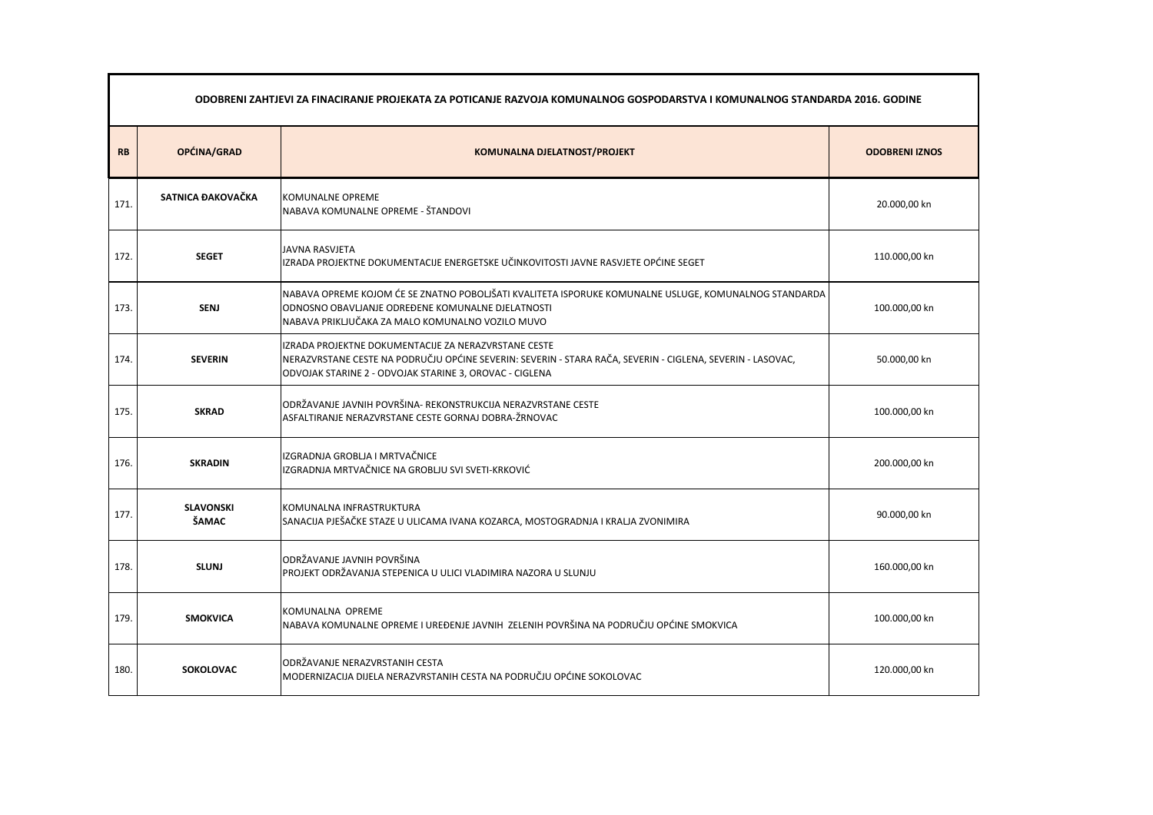| ODOBRENI ZAHTJEVI ZA FINACIRANJE PROJEKATA ZA POTICANJE RAZVOJA KOMUNALNOG GOSPODARSTVA I KOMUNALNOG STANDARDA 2016. GODINE |                                  |                                                                                                                                                                                                                               |                       |
|-----------------------------------------------------------------------------------------------------------------------------|----------------------------------|-------------------------------------------------------------------------------------------------------------------------------------------------------------------------------------------------------------------------------|-----------------------|
| <b>RB</b>                                                                                                                   | OPĆINA/GRAD                      | <b>KOMUNALNA DJELATNOST/PROJEKT</b>                                                                                                                                                                                           | <b>ODOBRENI IZNOS</b> |
| 171.                                                                                                                        | SATNICA ĐAKOVAČKA                | <b>KOMUNALNE OPREME</b><br>NABAVA KOMUNALNE OPREME - ŠTANDOVI                                                                                                                                                                 | 20.000,00 kn          |
| 172.                                                                                                                        | <b>SEGET</b>                     | <b>JAVNA RASVJETA</b><br>IZRADA PROJEKTNE DOKUMENTACIJE ENERGETSKE UČINKOVITOSTI JAVNE RASVJETE OPĆINE SEGET                                                                                                                  | 110.000,00 kn         |
| 173.                                                                                                                        | <b>SENJ</b>                      | NABAVA OPREME KOJOM ĆE SE ZNATNO POBOLJŠATI KVALITETA ISPORUKE KOMUNALNE USLUGE, KOMUNALNOG STANDARDA<br>ODNOSNO OBAVLJANJE ODREĐENE KOMUNALNE DJELATNOSTI<br>NABAVA PRIKLJUČAKA ZA MALO KOMUNALNO VOZILO MUVO                | 100.000,00 kn         |
| 174.                                                                                                                        | <b>SEVERIN</b>                   | IZRADA PROJEKTNE DOKUMENTACIJE ZA NERAZVRSTANE CESTE<br>NERAZVRSTANE CESTE NA PODRUČJU OPĆINE SEVERIN: SEVERIN - STARA RAČA, SEVERIN - CIGLENA, SEVERIN - LASOVAC,<br>ODVOJAK STARINE 2 - ODVOJAK STARINE 3, OROVAC - CIGLENA | 50.000,00 kn          |
| 175.                                                                                                                        | <b>SKRAD</b>                     | ODRŽAVANJE JAVNIH POVRŠINA- REKONSTRUKCIJA NERAZVRSTANE CESTE<br>ASFALTIRANJE NERAZVRSTANE CESTE GORNAJ DOBRA-ŽRNOVAC                                                                                                         | 100.000,00 kn         |
| 176.                                                                                                                        | <b>SKRADIN</b>                   | IZGRADNJA GROBLJA I MRTVAČNICE<br>IZGRADNJA MRTVAČNICE NA GROBLJU SVI SVETI-KRKOVIĆ                                                                                                                                           | 200.000,00 kn         |
| 177.                                                                                                                        | <b>SLAVONSKI</b><br><b>ŠAMAC</b> | KOMUNALNA INFRASTRUKTURA<br>SANACIJA PJEŠAČKE STAZE U ULICAMA IVANA KOZARCA, MOSTOGRADNJA I KRALJA ZVONIMIRA                                                                                                                  | 90.000,00 kn          |
| 178.                                                                                                                        | <b>SLUNJ</b>                     | ODRŽAVANJE JAVNIH POVRŠINA<br>PROJEKT ODRŽAVANJA STEPENICA U ULICI VLADIMIRA NAZORA U SLUNJU                                                                                                                                  | 160.000,00 kn         |
| 179.                                                                                                                        | <b>SMOKVICA</b>                  | KOMUNALNA OPREME<br>NABAVA KOMUNALNE OPREME I UREĐENJE JAVNIH ZELENIH POVRŠINA NA PODRUČJU OPĆINE SMOKVICA                                                                                                                    | 100.000,00 kn         |
| 180.                                                                                                                        | <b>SOKOLOVAC</b>                 | ODRŽAVANJE NERAZVRSTANIH CESTA<br>MODERNIZACIJA DIJELA NERAZVRSTANIH CESTA NA PODRUČJU OPĆINE SOKOLOVAC                                                                                                                       | 120.000,00 kn         |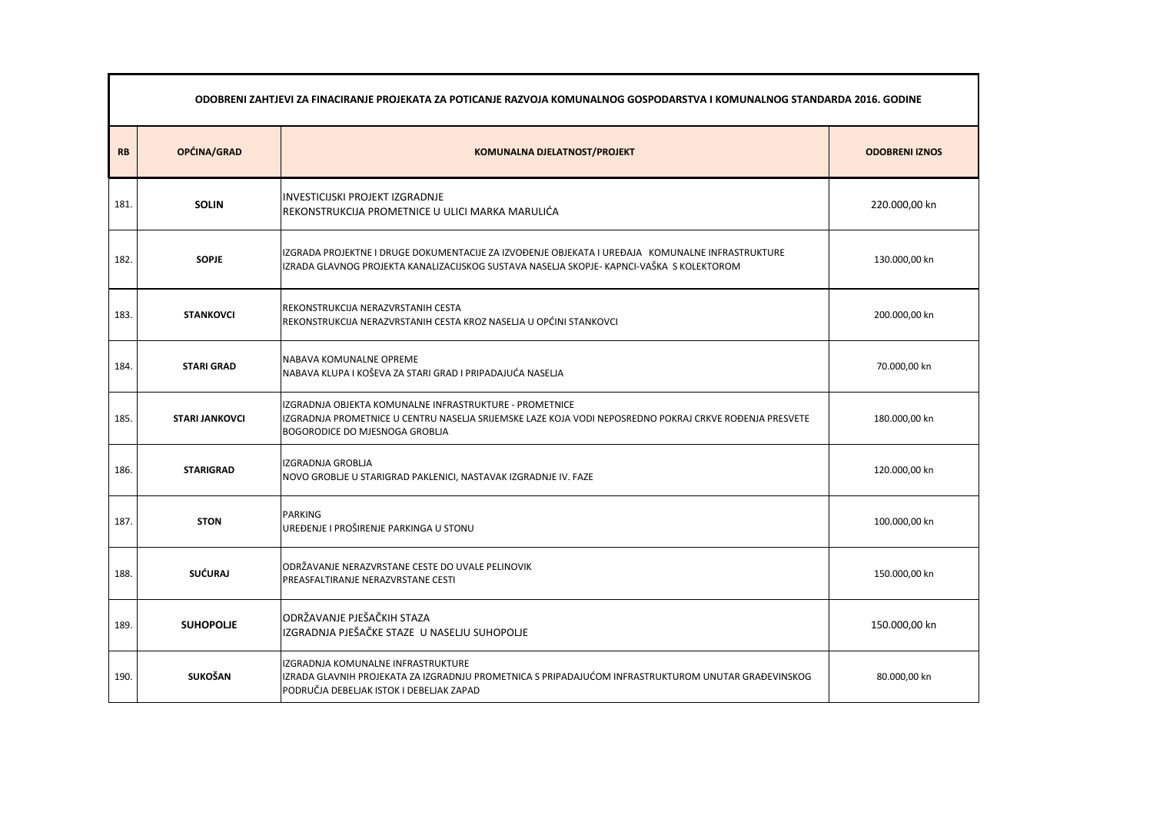|           | ODOBRENI ZAHTJEVI ZA FINACIRANJE PROJEKATA ZA POTICANJE RAZVOJA KOMUNALNOG GOSPODARSTVA I KOMUNALNOG STANDARDA 2016. GODINE |                                                                                                                                                                                                             |                       |  |
|-----------|-----------------------------------------------------------------------------------------------------------------------------|-------------------------------------------------------------------------------------------------------------------------------------------------------------------------------------------------------------|-----------------------|--|
| <b>RB</b> | OPĆINA/GRAD                                                                                                                 | <b>KOMUNALNA DJELATNOST/PROJEKT</b>                                                                                                                                                                         | <b>ODOBRENI IZNOS</b> |  |
| 181.      | <b>SOLIN</b>                                                                                                                | <b>INVESTICIJSKI PROJEKT IZGRADNJE</b><br>REKONSTRUKCIJA PROMETNICE U ULICI MARKA MARULIĆA                                                                                                                  | 220.000,00 kn         |  |
| 182.      | <b>SOPJE</b>                                                                                                                | IZGRADA PROJEKTNE I DRUGE DOKUMENTACIJE ZA IZVOĐENJE OBJEKATA I UREĐAJA KOMUNALNE INFRASTRUKTURE<br>IZRADA GLAVNOG PROJEKTA KANALIZACIJSKOG SUSTAVA NASELJA SKOPJE- KAPNCI-VAŠKA S KOLEKTOROM               | 130.000,00 kn         |  |
| 183.      | <b>STANKOVCI</b>                                                                                                            | REKONSTRUKCIJA NERAZVRSTANIH CESTA<br>REKONSTRUKCIJA NERAZVRSTANIH CESTA KROZ NASELJA U OPĆINI STANKOVCI                                                                                                    | 200.000,00 kn         |  |
| 184.      | <b>STARI GRAD</b>                                                                                                           | NABAVA KOMUNALNE OPREME<br>NABAVA KLUPA I KOŠEVA ZA STARI GRAD I PRIPADAJUĆA NASELJA                                                                                                                        | 70.000,00 kn          |  |
| 185.      | <b>STARI JANKOVCI</b>                                                                                                       | IZGRADNJA OBJEKTA KOMUNALNE INFRASTRUKTURE - PROMETNICE<br>IZGRADNJA PROMETNICE U CENTRU NASELJA SRIJEMSKE LAZE KOJA VODI NEPOSREDNO POKRAJ CRKVE ROĐENJA PRESVETE<br><b>BOGORODICE DO MJESNOGA GROBLIA</b> | 180.000,00 kn         |  |
| 186.      | <b>STARIGRAD</b>                                                                                                            | IZGRADNJA GROBLJA<br>NOVO GROBLJE U STARIGRAD PAKLENICI, NASTAVAK IZGRADNJE IV. FAZE                                                                                                                        | 120.000,00 kn         |  |
| 187.      | <b>STON</b>                                                                                                                 | <b>PARKING</b><br>UREĐENJE I PROŠIRENJE PARKINGA U STONU                                                                                                                                                    | 100.000,00 kn         |  |
| 188.      | <b>SUĆURAJ</b>                                                                                                              | ODRŽAVANJE NERAZVRSTANE CESTE DO UVALE PELINOVIK<br>PREASFALTIRANJE NERAZVRSTANE CESTI                                                                                                                      | 150.000,00 kn         |  |
| 189.      | <b>SUHOPOLJE</b>                                                                                                            | ODRŽAVANJE PJEŠAČKIH STAZA<br>IZGRADNJA PJEŠAČKE STAZE U NASELJU SUHOPOLJE                                                                                                                                  | 150.000,00 kn         |  |
| 190.      | <b>SUKOŠAN</b>                                                                                                              | IZGRADNJA KOMUNALNE INFRASTRUKTURE<br>IZRADA GLAVNIH PROJEKATA ZA IZGRADNJU PROMETNICA S PRIPADAJUĆOM INFRASTRUKTUROM UNUTAR GRAĐEVINSKOG<br>PODRUČJA DEBELJAK ISTOK I DEBELJAK ZAPAD                       | 80.000,00 kn          |  |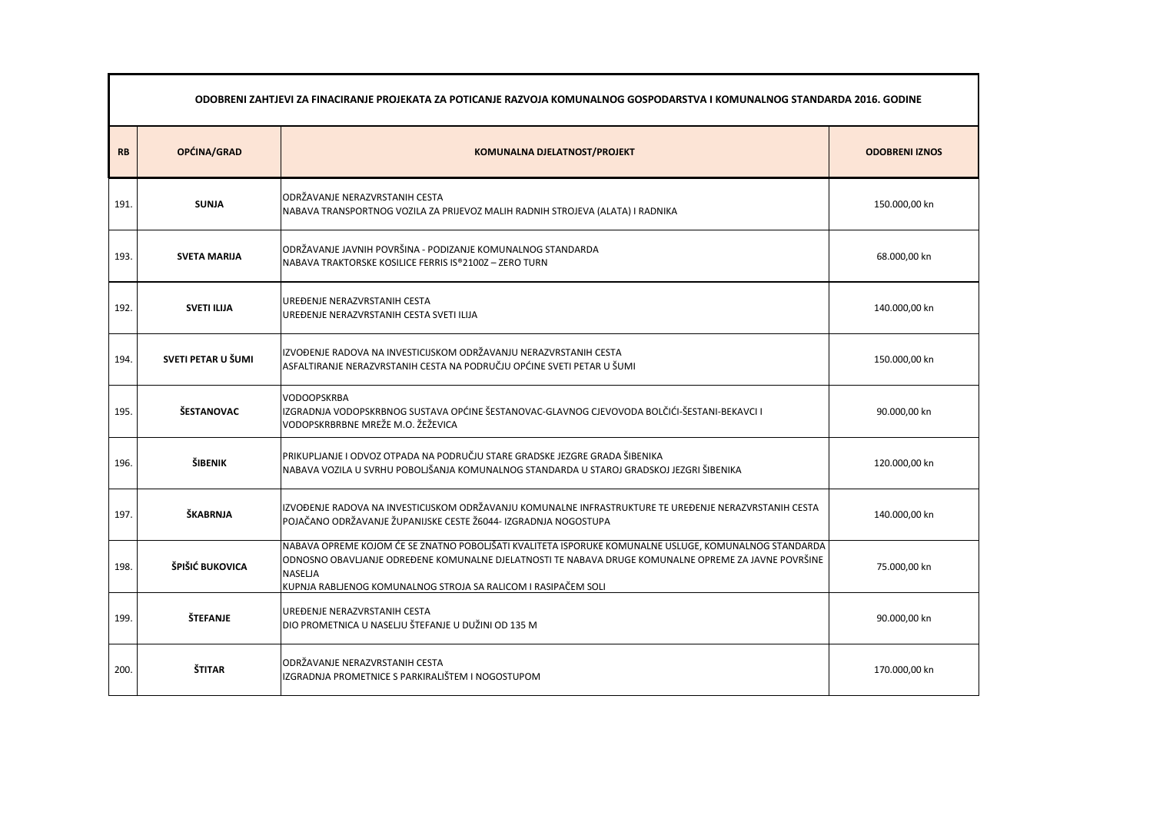|           | ODOBRENI ZAHTJEVI ZA FINACIRANJE PROJEKATA ZA POTICANJE RAZVOJA KOMUNALNOG GOSPODARSTVA I KOMUNALNOG STANDARDA 2016. GODINE |                                                                                                                                                                                                                                                                                                   |                       |  |
|-----------|-----------------------------------------------------------------------------------------------------------------------------|---------------------------------------------------------------------------------------------------------------------------------------------------------------------------------------------------------------------------------------------------------------------------------------------------|-----------------------|--|
| <b>RB</b> | OPĆINA/GRAD                                                                                                                 | <b>KOMUNALNA DJELATNOST/PROJEKT</b>                                                                                                                                                                                                                                                               | <b>ODOBRENI IZNOS</b> |  |
| 191.      | <b>SUNJA</b>                                                                                                                | ODRŽAVANJE NERAZVRSTANIH CESTA<br>NABAVA TRANSPORTNOG VOZILA ZA PRIJEVOZ MALIH RADNIH STROJEVA (ALATA) I RADNIKA                                                                                                                                                                                  | 150.000,00 kn         |  |
| 193.      | <b>SVETA MARIJA</b>                                                                                                         | ODRŽAVANJE JAVNIH POVRŠINA - PODIZANJE KOMUNALNOG STANDARDA<br>NABAVA TRAKTORSKE KOSILICE FERRIS IS®2100Z-ZERO TURN                                                                                                                                                                               | 68.000,00 kn          |  |
| 192.      | <b>SVETI ILIJA</b>                                                                                                          | UREĐENJE NERAZVRSTANIH CESTA<br>UREĐENJE NERAZVRSTANIH CESTA SVETI ILIJA                                                                                                                                                                                                                          | 140.000,00 kn         |  |
| 194.      | SVETI PETAR U ŠUMI                                                                                                          | IZVOĐENJE RADOVA NA INVESTICIJSKOM ODRŽAVANJU NERAZVRSTANIH CESTA<br>ASFALTIRANJE NERAZVRSTANIH CESTA NA PODRUČJU OPĆINE SVETI PETAR U ŠUMI                                                                                                                                                       | 150.000,00 kn         |  |
| 195.      | ŠESTANOVAC                                                                                                                  | <b>VODOOPSKRBA</b><br>IZGRADNJA VODOPSKRBNOG SUSTAVA OPĆINE ŠESTANOVAC-GLAVNOG CJEVOVODA BOLČIĆI-ŠESTANI-BEKAVCI I<br>VODOPSKRBRBNE MREŽE M.O. ŽEŽEVICA                                                                                                                                           | 90.000,00 kn          |  |
| 196.      | ŠIBENIK                                                                                                                     | PRIKUPLJANJE I ODVOZ OTPADA NA PODRUČJU STARE GRADSKE JEZGRE GRADA ŠIBENIKA<br>NABAVA VOZILA U SVRHU POBOLJŠANJA KOMUNALNOG STANDARDA U STAROJ GRADSKOJ JEZGRI ŠIBENIKA                                                                                                                           | 120.000,00 kn         |  |
| 197.      | ŠKABRNJA                                                                                                                    | IZVOĐENJE RADOVA NA INVESTICIJSKOM ODRŽAVANJU KOMUNALNE INFRASTRUKTURE TE UREĐENJE NERAZVRSTANIH CESTA<br>POJAČANO ODRŽAVANJE ŽUPANIJSKE CESTE Ž6044- IZGRADNJA NOGOSTUPA                                                                                                                         | 140.000,00 kn         |  |
| 198.      | ŠPIŠIĆ BUKOVICA                                                                                                             | NABAVA OPREME KOJOM ĆE SE ZNATNO POBOLJŠATI KVALITETA ISPORUKE KOMUNALNE USLUGE, KOMUNALNOG STANDARDA<br>ODNOSNO OBAVLJANJE ODREĐENE KOMUNALNE DJELATNOSTI TE NABAVA DRUGE KOMUNALNE OPREME ZA JAVNE POVRŠINE<br><b>NASELJA</b><br>KUPNJA RABLJENOG KOMUNALNOG STROJA SA RALICOM I RASIPAČEM SOLI | 75.000,00 kn          |  |
| 199.      | <b>ŠTEFANJE</b>                                                                                                             | UREĐENJE NERAZVRSTANIH CESTA<br>DIO PROMETNICA U NASELJU ŠTEFANJE U DUŽINI OD 135 M                                                                                                                                                                                                               | 90.000,00 kn          |  |
| 200.      | <b>ŠTITAR</b>                                                                                                               | ODRŽAVANJE NERAZVRSTANIH CESTA<br>IZGRADNJA PROMETNICE S PARKIRALIŠTEM I NOGOSTUPOM                                                                                                                                                                                                               | 170.000,00 kn         |  |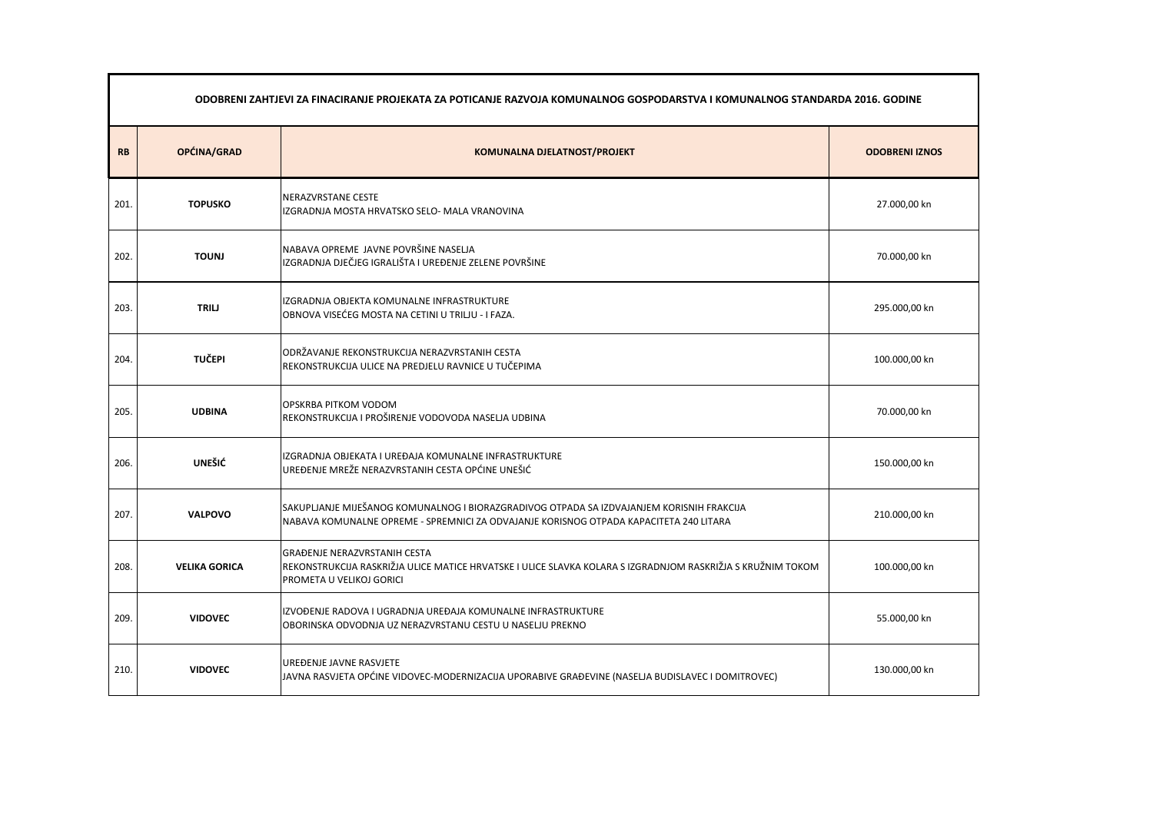|           | ODOBRENI ZAHTJEVI ZA FINACIRANJE PROJEKATA ZA POTICANJE RAZVOJA KOMUNALNOG GOSPODARSTVA I KOMUNALNOG STANDARDA 2016. GODINE |                                                                                                                                                                                     |                       |
|-----------|-----------------------------------------------------------------------------------------------------------------------------|-------------------------------------------------------------------------------------------------------------------------------------------------------------------------------------|-----------------------|
| <b>RB</b> | OPĆINA/GRAD                                                                                                                 | <b>KOMUNALNA DJELATNOST/PROJEKT</b>                                                                                                                                                 | <b>ODOBRENI IZNOS</b> |
| 201.      | <b>TOPUSKO</b>                                                                                                              | NERAZVRSTANE CESTE<br>IZGRADNJA MOSTA HRVATSKO SELO- MALA VRANOVINA                                                                                                                 | 27.000,00 kn          |
| 202.      | <b>TOUNJ</b>                                                                                                                | NABAVA OPREME JAVNE POVRŠINE NASELJA<br>IZGRADNJA DJEČJEG IGRALIŠTA I UREĐENJE ZELENE POVRŠINE                                                                                      | 70.000,00 kn          |
| 203.      | <b>TRILJ</b>                                                                                                                | IZGRADNJA OBJEKTA KOMUNALNE INFRASTRUKTURE<br>OBNOVA VISEĆEG MOSTA NA CETINI U TRILJU - I FAZA.                                                                                     | 295.000,00 kn         |
| 204.      | <b>TUČEPI</b>                                                                                                               | ODRŽAVANJE REKONSTRUKCIJA NERAZVRSTANIH CESTA<br>REKONSTRUKCIJA ULICE NA PREDJELU RAVNICE U TUČEPIMA                                                                                | 100.000,00 kn         |
| 205.      | <b>UDBINA</b>                                                                                                               | OPSKRBA PITKOM VODOM<br>REKONSTRUKCIJA I PROŠIRENJE VODOVODA NASELJA UDBINA                                                                                                         | 70.000,00 kn          |
| 206.      | <b>UNEŠIĆ</b>                                                                                                               | IZGRADNJA OBJEKATA I UREĐAJA KOMUNALNE INFRASTRUKTURE<br>UREĐENJE MREŽE NERAZVRSTANIH CESTA OPĆINE UNEŠIĆ                                                                           | 150.000,00 kn         |
| 207.      | <b>VALPOVO</b>                                                                                                              | SAKUPLJANJE MIJEŠANOG KOMUNALNOG I BIORAZGRADIVOG OTPADA SA IZDVAJANJEM KORISNIH FRAKCIJA<br>NABAVA KOMUNALNE OPREME - SPREMNICI ZA ODVAJANJE KORISNOG OTPADA KAPACITETA 240 LITARA | 210.000,00 kn         |
| 208.      | <b>VELIKA GORICA</b>                                                                                                        | <b>GRAĐENJE NERAZVRSTANIH CESTA</b><br>REKONSTRUKCIJA RASKRIŽJA ULICE MATICE HRVATSKE I ULICE SLAVKA KOLARA S IZGRADNJOM RASKRIŽJA S KRUŽNIM TOKOM<br>PROMETA U VELIKOJ GORICI      | 100.000,00 kn         |
| 209.      | <b>VIDOVEC</b>                                                                                                              | IZVOĐENJE RADOVA I UGRADNJA UREĐAJA KOMUNALNE INFRASTRUKTURE<br>OBORINSKA ODVODNJA UZ NERAZVRSTANU CESTU U NASELJU PREKNO                                                           | 55.000,00 kn          |
| 210.      | <b>VIDOVEC</b>                                                                                                              | UREĐENJE JAVNE RASVJETE<br>JAVNA RASVJETA OPĆINE VIDOVEC-MODERNIZACIJA UPORABIVE GRAĐEVINE (NASELJA BUDISLAVEC I DOMITROVEC)                                                        | 130.000,00 kn         |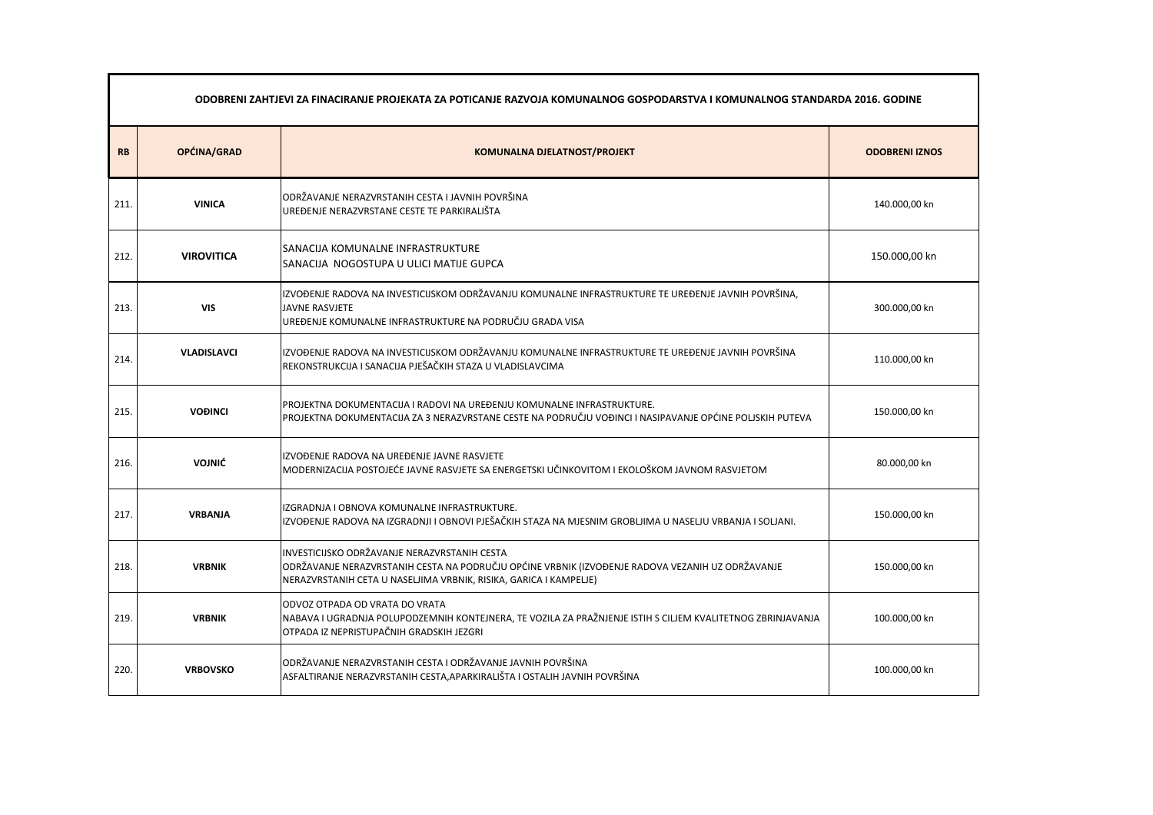| ODOBRENI ZAHTJEVI ZA FINACIRANJE PROJEKATA ZA POTICANJE RAZVOJA KOMUNALNOG GOSPODARSTVA I KOMUNALNOG STANDARDA 2016. GODINE |                    |                                                                                                                                                                                                                       |                       |
|-----------------------------------------------------------------------------------------------------------------------------|--------------------|-----------------------------------------------------------------------------------------------------------------------------------------------------------------------------------------------------------------------|-----------------------|
| <b>RB</b>                                                                                                                   | OPĆINA/GRAD        | <b>KOMUNALNA DJELATNOST/PROJEKT</b>                                                                                                                                                                                   | <b>ODOBRENI IZNOS</b> |
| 211                                                                                                                         | <b>VINICA</b>      | ODRŽAVANJE NERAZVRSTANIH CESTA I JAVNIH POVRŠINA<br>UREĐENJE NERAZVRSTANE CESTE TE PARKIRALIŠTA                                                                                                                       | 140.000,00 kn         |
| 212.                                                                                                                        | <b>VIROVITICA</b>  | <b>SANACIJA KOMUNALNE INFRASTRUKTURE</b><br>SANACIJA NOGOSTUPA U ULICI MATIJE GUPCA                                                                                                                                   | 150.000,00 kn         |
| 213.                                                                                                                        | <b>VIS</b>         | IZVOĐENJE RADOVA NA INVESTICIJSKOM ODRŽAVANJU KOMUNALNE INFRASTRUKTURE TE UREĐENJE JAVNIH POVRŠINA,<br><b>JAVNE RASVJETE</b><br>UREĐENJE KOMUNALNE INFRASTRUKTURE NA PODRUČJU GRADA VISA                              | 300.000,00 kn         |
| 214                                                                                                                         | <b>VLADISLAVCI</b> | IZVOĐENJE RADOVA NA INVESTICIJSKOM ODRŽAVANJU KOMUNALNE INFRASTRUKTURE TE UREĐENJE JAVNIH POVRŠINA<br>REKONSTRUKCIJA I SANACIJA PJEŠAČKIH STAZA U VLADISLAVCIMA                                                       | 110.000,00 kn         |
| 215.                                                                                                                        | <b>VOĐINCI</b>     | PROJEKTNA DOKUMENTACIJA I RADOVI NA UREĐENJU KOMUNALNE INFRASTRUKTURE.<br>PROJEKTNA DOKUMENTACIJA ZA 3 NERAZVRSTANE CESTE NA PODRUČJU VOĐINCI I NASIPAVANJE OPĆINE POLJSKIH PUTEVA                                    | 150.000,00 kn         |
| 216.                                                                                                                        | <b>VOJNIĆ</b>      | IZVOĐENJE RADOVA NA UREĐENJE JAVNE RASVJETE<br>MODERNIZACIJA POSTOJEĆE JAVNE RASVJETE SA ENERGETSKI UČINKOVITOM I EKOLOŠKOM JAVNOM RASVJETOM                                                                          | 80.000,00 kn          |
| 217.                                                                                                                        | <b>VRBANJA</b>     | IZGRADNJA I OBNOVA KOMUNALNE INFRASTRUKTURE.<br>IZVOĐENJE RADOVA NA IZGRADNJI I OBNOVI PJEŠAČKIH STAZA NA MJESNIM GROBLJIMA U NASELJU VRBANJA I SOLJANI.                                                              | 150.000,00 kn         |
| 218.                                                                                                                        | <b>VRBNIK</b>      | INVESTICIJSKO ODRŽAVANJE NERAZVRSTANIH CESTA<br>ODRŽAVANJE NERAZVRSTANIH CESTA NA PODRUČJU OPĆINE VRBNIK (IZVOĐENJE RADOVA VEZANIH UZ ODRŽAVANJE<br>NERAZVRSTANIH CETA U NASELJIMA VRBNIK, RISIKA, GARICA I KAMPELJE) | 150.000,00 kn         |
| 219.                                                                                                                        | <b>VRBNIK</b>      | ODVOZ OTPADA OD VRATA DO VRATA<br>NABAVA I UGRADNJA POLUPODZEMNIH KONTEJNERA, TE VOZILA ZA PRAŽNJENJE ISTIH S CILJEM KVALITETNOG ZBRINJAVANJA<br>OTPADA IZ NEPRISTUPAČNIH GRADSKIH JEZGRI                             | 100.000,00 kn         |
| 220.                                                                                                                        | <b>VRBOVSKO</b>    | ODRŽAVANJE NERAZVRSTANIH CESTA I ODRŽAVANJE JAVNIH POVRŠINA<br>ASFALTIRANJE NERAZVRSTANIH CESTA, APARKIRALIŠTA I OSTALIH JAVNIH POVRŠINA                                                                              | 100.000,00 kn         |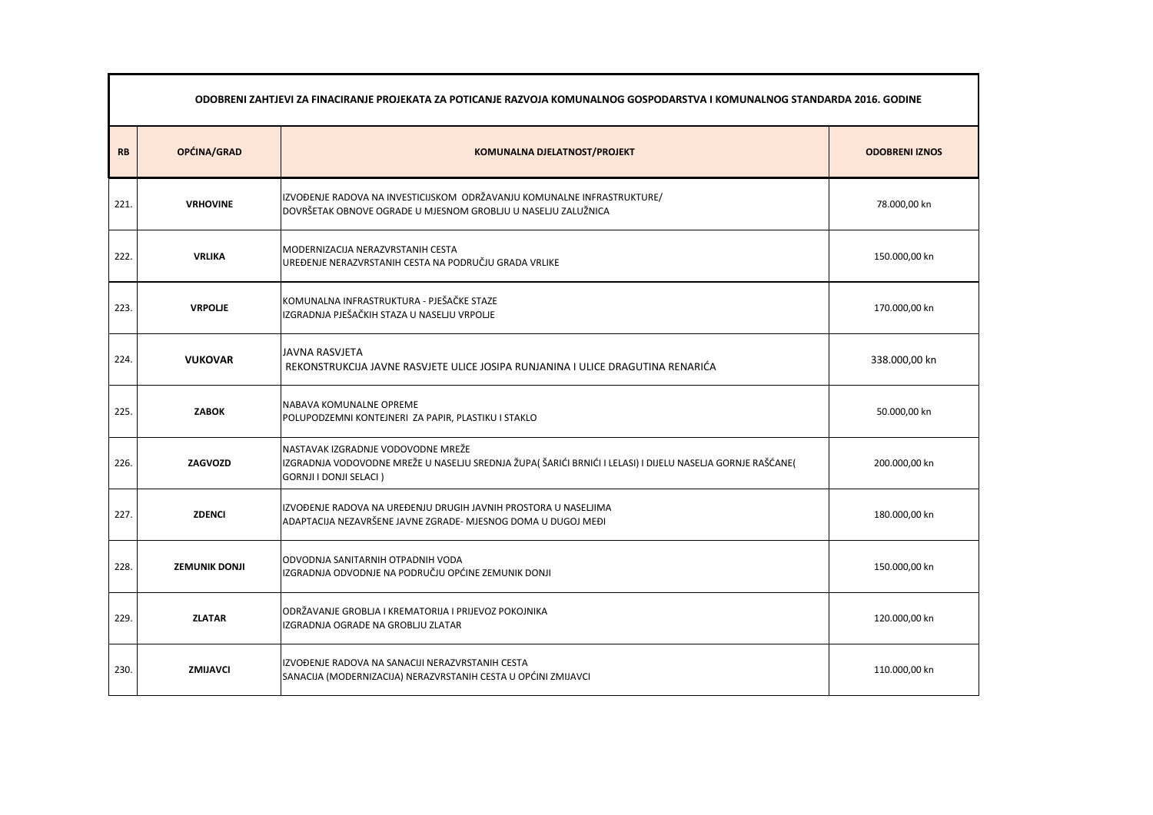|           | ODOBRENI ZAHTJEVI ZA FINACIRANJE PROJEKATA ZA POTICANJE RAZVOJA KOMUNALNOG GOSPODARSTVA I KOMUNALNOG STANDARDA 2016. GODINE |                                                                                                                                                                                   |                       |  |
|-----------|-----------------------------------------------------------------------------------------------------------------------------|-----------------------------------------------------------------------------------------------------------------------------------------------------------------------------------|-----------------------|--|
| <b>RB</b> | OPĆINA/GRAD                                                                                                                 | KOMUNALNA DJELATNOST/PROJEKT                                                                                                                                                      | <b>ODOBRENI IZNOS</b> |  |
| 221.      | <b>VRHOVINE</b>                                                                                                             | IZVOĐENJE RADOVA NA INVESTICIJSKOM ODRŽAVANJU KOMUNALNE INFRASTRUKTURE/<br>DOVRŠETAK OBNOVE OGRADE U MJESNOM GROBLJU U NASELJU ZALUŽNICA                                          | 78.000,00 kn          |  |
| 222.      | <b>VRLIKA</b>                                                                                                               | MODERNIZACIJA NERAZVRSTANIH CESTA<br>UREĐENJE NERAZVRSTANIH CESTA NA PODRUČJU GRADA VRLIKE                                                                                        | 150.000,00 kn         |  |
| 223.      | <b>VRPOLJE</b>                                                                                                              | KOMUNALNA INFRASTRUKTURA - PJEŠAČKE STAZE<br>IZGRADNJA PJEŠAČKIH STAZA U NASELJU VRPOLJE                                                                                          | 170.000,00 kn         |  |
| 224.      | <b>VUKOVAR</b>                                                                                                              | JAVNA RASVJETA<br>REKONSTRUKCIJA JAVNE RASVJETE ULICE JOSIPA RUNJANINA I ULICE DRAGUTINA RENARIĆA                                                                                 | 338.000,00 kn         |  |
| 225.      | <b>ZABOK</b>                                                                                                                | NABAVA KOMUNALNE OPREME<br>POLUPODZEMNI KONTEJNERI ZA PAPIR, PLASTIKU I STAKLO                                                                                                    | 50.000,00 kn          |  |
| 226.      | <b>ZAGVOZD</b>                                                                                                              | NASTAVAK IZGRADNJE VODOVODNE MREŽE<br>IZGRADNJA VODOVODNE MREŽE U NASELJU SREDNJA ŽUPA( ŠARIĆI BRNIĆI I LELASI) I DIJELU NASELJA GORNJE RAŠĆANE(<br><b>GORNJI I DONJI SELACI)</b> | 200.000,00 kn         |  |
| 227.      | <b>ZDENCI</b>                                                                                                               | IZVOĐENJE RADOVA NA UREĐENJU DRUGIH JAVNIH PROSTORA U NASELJIMA<br>ADAPTACIJA NEZAVRŠENE JAVNE ZGRADE- MJESNOG DOMA U DUGOJ MEĐI                                                  | 180.000,00 kn         |  |
| 228.      | <b>ZEMUNIK DONJI</b>                                                                                                        | ODVODNJA SANITARNIH OTPADNIH VODA<br>IZGRADNJA ODVODNJE NA PODRUČJU OPĆINE ZEMUNIK DONJI                                                                                          | 150.000,00 kn         |  |
| 229.      | <b>ZLATAR</b>                                                                                                               | ODRŽAVANJE GROBLJA I KREMATORIJA I PRIJEVOZ POKOJNIKA<br>IZGRADNJA OGRADE NA GROBLJU ZLATAR                                                                                       | 120.000,00 kn         |  |
| 230.      | <b>ZMIJAVCI</b>                                                                                                             | IZVOĐENJE RADOVA NA SANACIJI NERAZVRSTANIH CESTA<br>SANACIJA (MODERNIZACIJA) NERAZVRSTANIH CESTA U OPĆINI ZMIJAVCI                                                                | 110.000,00 kn         |  |